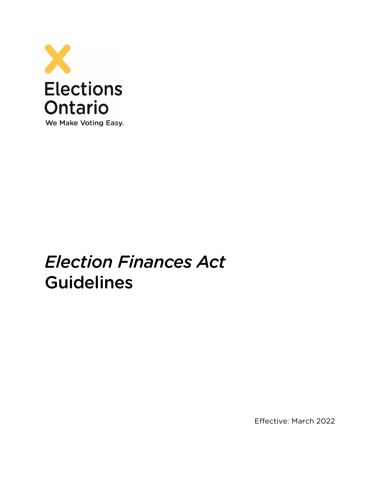

Effective: March 2022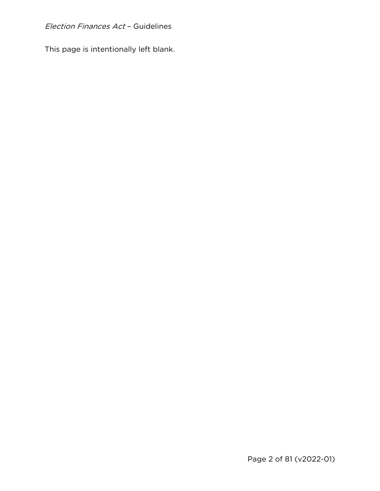This page is intentionally left blank.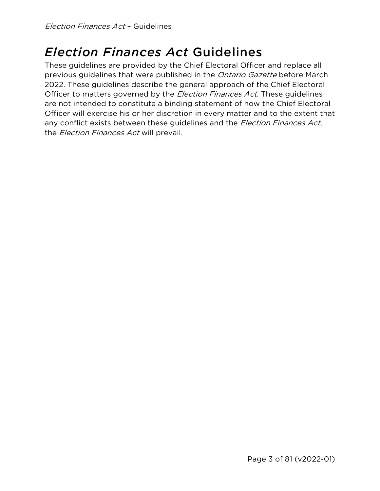These guidelines are provided by the Chief Electoral Officer and replace all previous guidelines that were published in the *Ontario Gazette* before March 2022. These guidelines describe the general approach of the Chief Electoral Officer to matters governed by the *Election Finances Act*. These guidelines are not intended to constitute a binding statement of how the Chief Electoral Officer will exercise his or her discretion in every matter and to the extent that any conflict exists between these guidelines and the *Election Finances Act*, the *Election Finances Act* will prevail.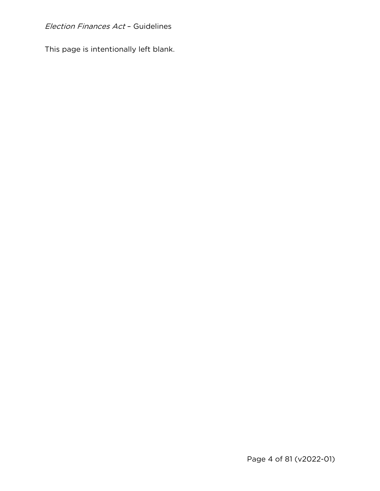This page is intentionally left blank.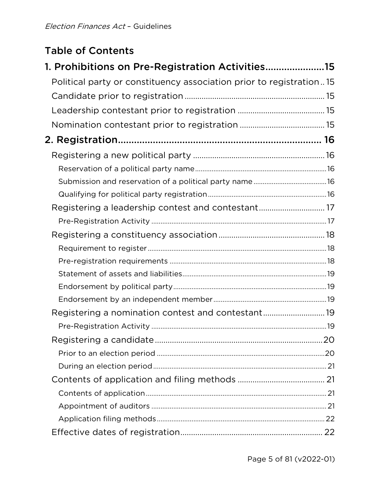## Table of Contents

| 1. Prohibitions on Pre-Registration Activities15                    |  |
|---------------------------------------------------------------------|--|
| Political party or constituency association prior to registration15 |  |
|                                                                     |  |
|                                                                     |  |
|                                                                     |  |
|                                                                     |  |
|                                                                     |  |
|                                                                     |  |
|                                                                     |  |
|                                                                     |  |
| Registering a leadership contest and contestant 17                  |  |
|                                                                     |  |
|                                                                     |  |
|                                                                     |  |
|                                                                     |  |
|                                                                     |  |
|                                                                     |  |
|                                                                     |  |
| Registering a nomination contest and contestant 19                  |  |
|                                                                     |  |
|                                                                     |  |
|                                                                     |  |
|                                                                     |  |
|                                                                     |  |
|                                                                     |  |
|                                                                     |  |
|                                                                     |  |
|                                                                     |  |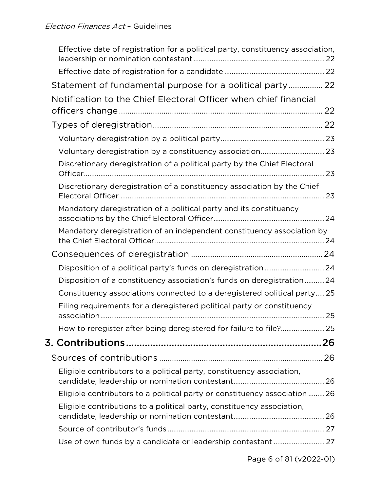| Effective date of registration for a political party, constituency association, |  |
|---------------------------------------------------------------------------------|--|
|                                                                                 |  |
| Statement of fundamental purpose for a political party  22                      |  |
| Notification to the Chief Electoral Officer when chief financial                |  |
|                                                                                 |  |
|                                                                                 |  |
|                                                                                 |  |
| Discretionary deregistration of a political party by the Chief Electoral        |  |
| Discretionary deregistration of a constituency association by the Chief         |  |
| Mandatory deregistration of a political party and its constituency              |  |
| Mandatory deregistration of an independent constituency association by          |  |
|                                                                                 |  |
|                                                                                 |  |
| Disposition of a constituency association's funds on deregistration24           |  |
| Constituency associations connected to a deregistered political party25         |  |
| Filing requirements for a deregistered political party or constituency          |  |
| How to reregister after being deregistered for failure to file? 25              |  |
|                                                                                 |  |
|                                                                                 |  |
| Eligible contributors to a political party, constituency association,           |  |
| Eligible contributors to a political party or constituency association  26      |  |
| Eligible contributions to a political party, constituency association,          |  |
|                                                                                 |  |
|                                                                                 |  |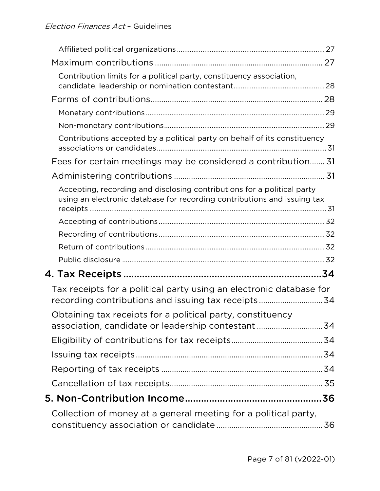| Contribution limits for a political party, constituency association,                                                                                |  |
|-----------------------------------------------------------------------------------------------------------------------------------------------------|--|
|                                                                                                                                                     |  |
|                                                                                                                                                     |  |
|                                                                                                                                                     |  |
| Contributions accepted by a political party on behalf of its constituency                                                                           |  |
| Fees for certain meetings may be considered a contribution 31                                                                                       |  |
|                                                                                                                                                     |  |
| Accepting, recording and disclosing contributions for a political party<br>using an electronic database for recording contributions and issuing tax |  |
|                                                                                                                                                     |  |
|                                                                                                                                                     |  |
|                                                                                                                                                     |  |
|                                                                                                                                                     |  |
|                                                                                                                                                     |  |
| Tax receipts for a political party using an electronic database for<br>recording contributions and issuing tax receipts34                           |  |
| Obtaining tax receipts for a political party, constituency<br>association, candidate or leadership contestant34                                     |  |
|                                                                                                                                                     |  |
|                                                                                                                                                     |  |
|                                                                                                                                                     |  |
|                                                                                                                                                     |  |
|                                                                                                                                                     |  |
| Collection of money at a general meeting for a political party,                                                                                     |  |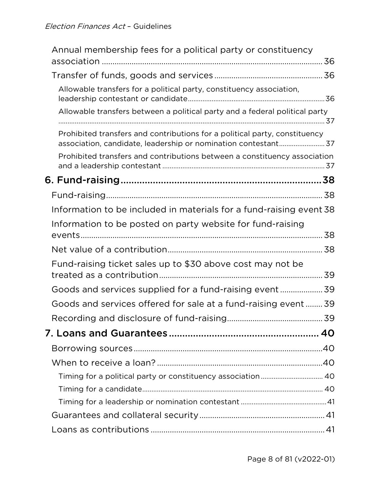| Annual membership fees for a political party or constituency                |  |
|-----------------------------------------------------------------------------|--|
|                                                                             |  |
| Allowable transfers for a political party, constituency association,        |  |
| Allowable transfers between a political party and a federal political party |  |
| Prohibited transfers and contributions for a political party, constituency  |  |
| Prohibited transfers and contributions between a constituency association   |  |
|                                                                             |  |
|                                                                             |  |
| Information to be included in materials for a fund-raising event 38         |  |
| Information to be posted on party website for fund-raising                  |  |
|                                                                             |  |
| Fund-raising ticket sales up to \$30 above cost may not be                  |  |
|                                                                             |  |
| Goods and services offered for sale at a fund-raising event  39             |  |
|                                                                             |  |
|                                                                             |  |
|                                                                             |  |
|                                                                             |  |
| Timing for a political party or constituency association 40                 |  |
|                                                                             |  |
|                                                                             |  |
|                                                                             |  |
|                                                                             |  |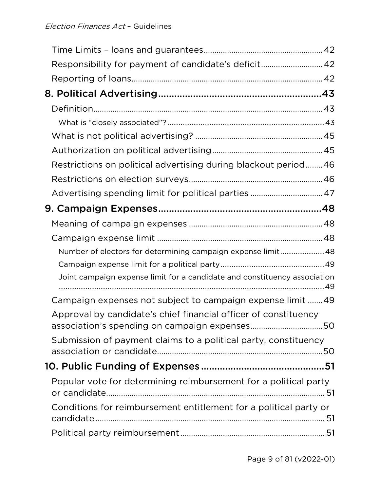| Responsibility for payment of candidate's deficit 42                                                             |  |
|------------------------------------------------------------------------------------------------------------------|--|
|                                                                                                                  |  |
|                                                                                                                  |  |
|                                                                                                                  |  |
|                                                                                                                  |  |
|                                                                                                                  |  |
|                                                                                                                  |  |
| Restrictions on political advertising during blackout period46                                                   |  |
|                                                                                                                  |  |
| Advertising spending limit for political parties  47                                                             |  |
|                                                                                                                  |  |
|                                                                                                                  |  |
|                                                                                                                  |  |
| Number of electors for determining campaign expense limit48                                                      |  |
|                                                                                                                  |  |
| Joint campaign expense limit for a candidate and constituency association                                        |  |
| Campaign expenses not subject to campaign expense limit  49                                                      |  |
| Approval by candidate's chief financial officer of constituency<br>association's spending on campaign expenses50 |  |
| Submission of payment claims to a political party, constituency                                                  |  |
|                                                                                                                  |  |
| Popular vote for determining reimbursement for a political party                                                 |  |
| Conditions for reimbursement entitlement for a political party or                                                |  |
|                                                                                                                  |  |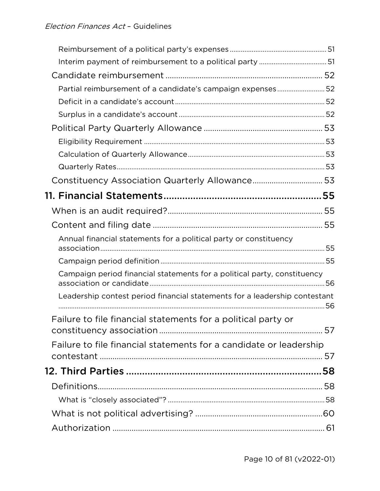| Partial reimbursement of a candidate's campaign expenses 52                |     |
|----------------------------------------------------------------------------|-----|
|                                                                            |     |
|                                                                            |     |
|                                                                            |     |
|                                                                            |     |
|                                                                            |     |
|                                                                            |     |
|                                                                            |     |
|                                                                            |     |
|                                                                            |     |
|                                                                            |     |
| Annual financial statements for a political party or constituency          |     |
|                                                                            |     |
|                                                                            |     |
| Campaign period financial statements for a political party, constituency   |     |
| Leadership contest period financial statements for a leadership contestant | .56 |
| Failure to file financial statements for a political party or              |     |
|                                                                            |     |
| Failure to file financial statements for a candidate or leadership         |     |
|                                                                            |     |
|                                                                            |     |
|                                                                            |     |
|                                                                            |     |
|                                                                            |     |
|                                                                            |     |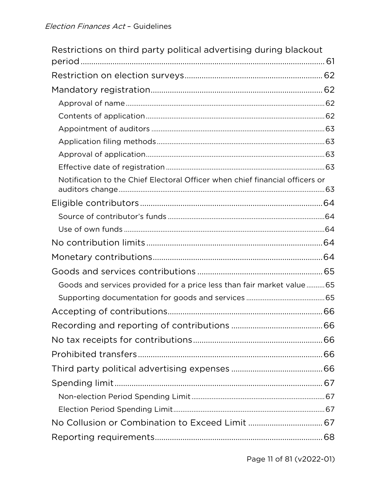| Restrictions on third party political advertising during blackout            |  |
|------------------------------------------------------------------------------|--|
|                                                                              |  |
|                                                                              |  |
|                                                                              |  |
|                                                                              |  |
|                                                                              |  |
|                                                                              |  |
|                                                                              |  |
|                                                                              |  |
|                                                                              |  |
| Notification to the Chief Electoral Officer when chief financial officers or |  |
|                                                                              |  |
|                                                                              |  |
|                                                                              |  |
|                                                                              |  |
|                                                                              |  |
|                                                                              |  |
| Goods and services provided for a price less than fair market value 65       |  |
|                                                                              |  |
|                                                                              |  |
|                                                                              |  |
|                                                                              |  |
|                                                                              |  |
|                                                                              |  |
|                                                                              |  |
|                                                                              |  |
|                                                                              |  |
|                                                                              |  |
|                                                                              |  |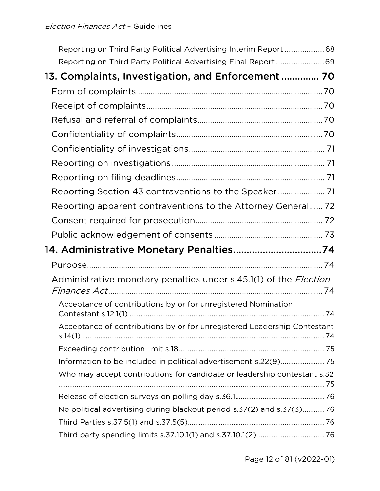| Reporting on Third Party Political Advertising Interim Report 68         |  |
|--------------------------------------------------------------------------|--|
| Reporting on Third Party Political Advertising Final Report69            |  |
| 13. Complaints, Investigation, and Enforcement  70                       |  |
|                                                                          |  |
|                                                                          |  |
|                                                                          |  |
|                                                                          |  |
|                                                                          |  |
|                                                                          |  |
|                                                                          |  |
| Reporting Section 43 contraventions to the Speaker                       |  |
| Reporting apparent contraventions to the Attorney General 72             |  |
|                                                                          |  |
|                                                                          |  |
|                                                                          |  |
|                                                                          |  |
|                                                                          |  |
| Administrative monetary penalties under s.45.1(1) of the <i>Election</i> |  |
| Acceptance of contributions by or for unregistered Nomination            |  |
| Acceptance of contributions by or for unregistered Leadership Contestant |  |
|                                                                          |  |
| Information to be included in political advertisement s.22(9) 75         |  |
| Who may accept contributions for candidate or leadership contestant s.32 |  |
|                                                                          |  |
| No political advertising during blackout period s.37(2) and s.37(3)76    |  |
|                                                                          |  |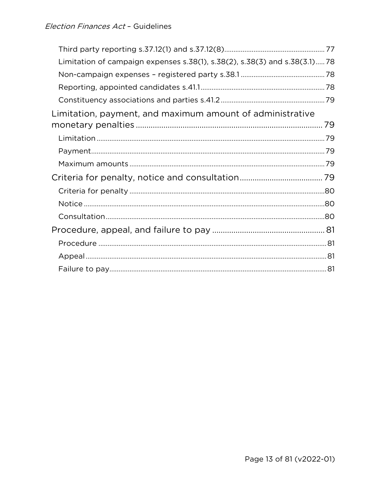| Limitation of campaign expenses s.38(1), s.38(2), s.38(3) and s.38(3.1)78 |  |
|---------------------------------------------------------------------------|--|
|                                                                           |  |
|                                                                           |  |
|                                                                           |  |
| Limitation, payment, and maximum amount of administrative                 |  |
|                                                                           |  |
|                                                                           |  |
|                                                                           |  |
|                                                                           |  |
|                                                                           |  |
|                                                                           |  |
|                                                                           |  |
|                                                                           |  |
|                                                                           |  |
|                                                                           |  |
|                                                                           |  |
|                                                                           |  |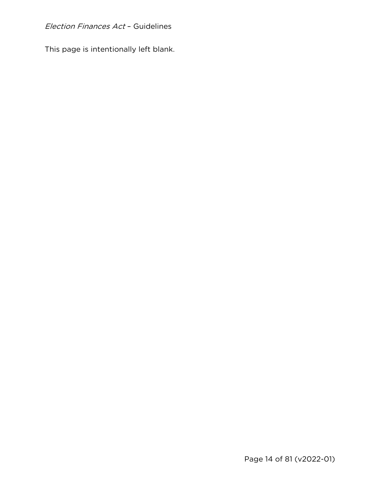This page is intentionally left blank.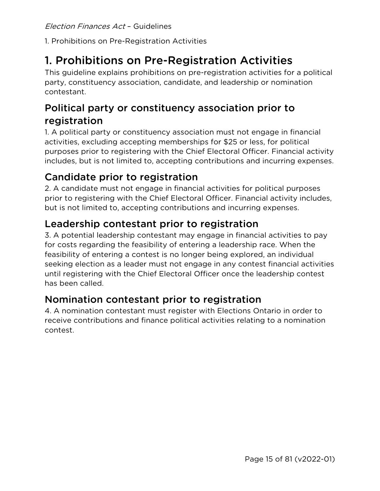1. Prohibitions on Pre-Registration Activities

## <span id="page-14-0"></span>1. Prohibitions on Pre-Registration Activities

This guideline explains prohibitions on pre-registration activities for a political party, constituency association, candidate, and leadership or nomination contestant.

## <span id="page-14-1"></span>Political party or constituency association prior to registration

1. A political party or constituency association must not engage in financial activities, excluding accepting memberships for \$25 or less, for political purposes prior to registering with the Chief Electoral Officer. Financial activity includes, but is not limited to, accepting contributions and incurring expenses.

## <span id="page-14-2"></span>Candidate prior to registration

2. A candidate must not engage in financial activities for political purposes prior to registering with the Chief Electoral Officer. Financial activity includes, but is not limited to, accepting contributions and incurring expenses.

## <span id="page-14-3"></span>Leadership contestant prior to registration

3. A potential leadership contestant may engage in financial activities to pay for costs regarding the feasibility of entering a leadership race. When the feasibility of entering a contest is no longer being explored, an individual seeking election as a leader must not engage in any contest financial activities until registering with the Chief Electoral Officer once the leadership contest has been called.

## <span id="page-14-4"></span>Nomination contestant prior to registration

4. A nomination contestant must register with Elections Ontario in order to receive contributions and finance political activities relating to a nomination contest.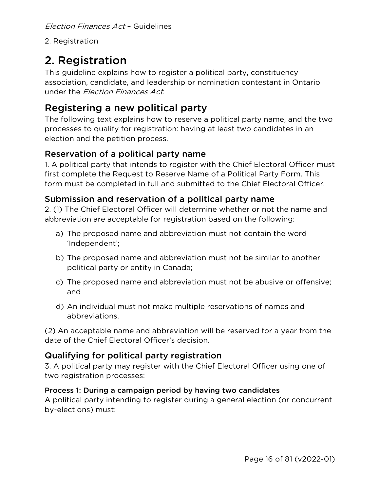## <span id="page-15-0"></span>2. Registration

This guideline explains how to register a political party, constituency association, candidate, and leadership or nomination contestant in Ontario under the Election Finances Act.

## <span id="page-15-1"></span>Registering a new political party

The following text explains how to reserve a political party name, and the two processes to qualify for registration: having at least two candidates in an election and the petition process.

## <span id="page-15-2"></span>Reservation of a political party name

1. A political party that intends to register with the Chief Electoral Officer must first complete the Request to Reserve Name of a Political Party Form. This form must be completed in full and submitted to the Chief Electoral Officer.

## <span id="page-15-3"></span>Submission and reservation of a political party name

2. (1) The Chief Electoral Officer will determine whether or not the name and abbreviation are acceptable for registration based on the following:

- a) The proposed name and abbreviation must not contain the word 'Independent';
- b) The proposed name and abbreviation must not be similar to another political party or entity in Canada;
- c) The proposed name and abbreviation must not be abusive or offensive; and
- d) An individual must not make multiple reservations of names and abbreviations.

(2) An acceptable name and abbreviation will be reserved for a year from the date of the Chief Electoral Officer's decision.

## <span id="page-15-4"></span>Qualifying for political party registration

3. A political party may register with the Chief Electoral Officer using one of two registration processes:

### Process 1: During a campaign period by having two candidates

A political party intending to register during a general election (or concurrent by-elections) must: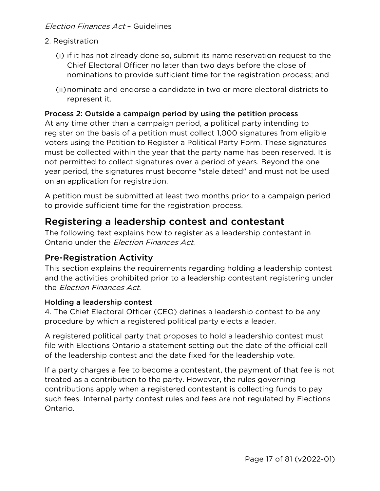#### 2. Registration

- (i) if it has not already done so, submit its name reservation request to the Chief Electoral Officer no later than two days before the close of nominations to provide sufficient time for the registration process; and
- (ii)nominate and endorse a candidate in two or more electoral districts to represent it.

#### Process 2: Outside a campaign period by using the petition process

At any time other than a campaign period, a political party intending to register on the basis of a petition must collect 1,000 signatures from eligible voters using the Petition to Register a Political Party Form. These signatures must be collected within the year that the party name has been reserved. It is not permitted to collect signatures over a period of years. Beyond the one year period, the signatures must become "stale dated" and must not be used on an application for registration.

A petition must be submitted at least two months prior to a campaign period to provide sufficient time for the registration process.

## <span id="page-16-0"></span>Registering a leadership contest and contestant

The following text explains how to register as a leadership contestant in Ontario under the Election Finances Act.

### <span id="page-16-1"></span>Pre-Registration Activity

This section explains the requirements regarding holding a leadership contest and the activities prohibited prior to a leadership contestant registering under the Election Finances Act.

#### Holding a leadership contest

4. The Chief Electoral Officer (CEO) defines a leadership contest to be any procedure by which a registered political party elects a leader.

A registered political party that proposes to hold a leadership contest must file with Elections Ontario a statement setting out the date of the official call of the leadership contest and the date fixed for the leadership vote.

If a party charges a fee to become a contestant, the payment of that fee is not treated as a contribution to the party. However, the rules governing contributions apply when a registered contestant is collecting funds to pay such fees. Internal party contest rules and fees are not regulated by Elections Ontario.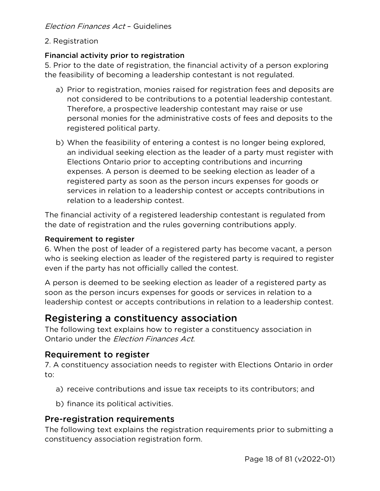#### 2. Registration

#### Financial activity prior to registration

5. Prior to the date of registration, the financial activity of a person exploring the feasibility of becoming a leadership contestant is not regulated.

- a) Prior to registration, monies raised for registration fees and deposits are not considered to be contributions to a potential leadership contestant. Therefore, a prospective leadership contestant may raise or use personal monies for the administrative costs of fees and deposits to the registered political party.
- b) When the feasibility of entering a contest is no longer being explored, an individual seeking election as the leader of a party must register with Elections Ontario prior to accepting contributions and incurring expenses. A person is deemed to be seeking election as leader of a registered party as soon as the person incurs expenses for goods or services in relation to a leadership contest or accepts contributions in relation to a leadership contest.

The financial activity of a registered leadership contestant is regulated from the date of registration and the rules governing contributions apply.

#### Requirement to register

6. When the post of leader of a registered party has become vacant, a person who is seeking election as leader of the registered party is required to register even if the party has not officially called the contest.

A person is deemed to be seeking election as leader of a registered party as soon as the person incurs expenses for goods or services in relation to a leadership contest or accepts contributions in relation to a leadership contest.

## <span id="page-17-0"></span>Registering a constituency association

The following text explains how to register a constituency association in Ontario under the Election Finances Act.

#### <span id="page-17-1"></span>Requirement to register

7. A constituency association needs to register with Elections Ontario in order to:

- a) receive contributions and issue tax receipts to its contributors; and
- b) finance its political activities.

#### <span id="page-17-2"></span>Pre-registration requirements

The following text explains the registration requirements prior to submitting a constituency association registration form.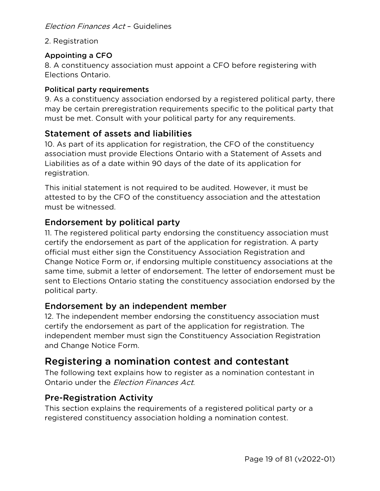#### 2. Registration

#### Appointing a CFO

8. A constituency association must appoint a CFO before registering with Elections Ontario.

#### Political party requirements

9. As a constituency association endorsed by a registered political party, there may be certain preregistration requirements specific to the political party that must be met. Consult with your political party for any requirements.

### <span id="page-18-0"></span>Statement of assets and liabilities

10. As part of its application for registration, the CFO of the constituency association must provide Elections Ontario with a Statement of Assets and Liabilities as of a date within 90 days of the date of its application for registration.

This initial statement is not required to be audited. However, it must be attested to by the CFO of the constituency association and the attestation must be witnessed.

### <span id="page-18-1"></span>Endorsement by political party

11. The registered political party endorsing the constituency association must certify the endorsement as part of the application for registration. A party official must either sign the Constituency Association Registration and Change Notice Form or, if endorsing multiple constituency associations at the same time, submit a letter of endorsement. The letter of endorsement must be sent to Elections Ontario stating the constituency association endorsed by the political party.

#### <span id="page-18-2"></span>Endorsement by an independent member

12. The independent member endorsing the constituency association must certify the endorsement as part of the application for registration. The independent member must sign the Constituency Association Registration and Change Notice Form.

## <span id="page-18-3"></span>Registering a nomination contest and contestant

The following text explains how to register as a nomination contestant in Ontario under the Election Finances Act.

### <span id="page-18-4"></span>Pre-Registration Activity

This section explains the requirements of a registered political party or a registered constituency association holding a nomination contest.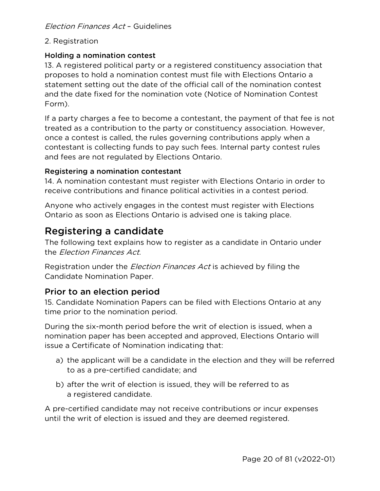#### 2. Registration

#### Holding a nomination contest

13. A registered political party or a registered constituency association that proposes to hold a nomination contest must file with Elections Ontario a statement setting out the date of the official call of the nomination contest and the date fixed for the nomination vote (Notice of Nomination Contest Form).

If a party charges a fee to become a contestant, the payment of that fee is not treated as a contribution to the party or constituency association. However, once a contest is called, the rules governing contributions apply when a contestant is collecting funds to pay such fees. Internal party contest rules and fees are not regulated by Elections Ontario.

#### Registering a nomination contestant

14. A nomination contestant must register with Elections Ontario in order to receive contributions and finance political activities in a contest period.

Anyone who actively engages in the contest must register with Elections Ontario as soon as Elections Ontario is advised one is taking place.

## <span id="page-19-0"></span>Registering a candidate

The following text explains how to register as a candidate in Ontario under the Election Finances Act.

Registration under the *Election Finances Act* is achieved by filing the Candidate Nomination Paper.

### <span id="page-19-1"></span>Prior to an election period

15. Candidate Nomination Papers can be filed with Elections Ontario at any time prior to the nomination period.

During the six-month period before the writ of election is issued, when a nomination paper has been accepted and approved, Elections Ontario will issue a Certificate of Nomination indicating that:

- a) the applicant will be a candidate in the election and they will be referred to as a pre-certified candidate; and
- b) after the writ of election is issued, they will be referred to as a registered candidate.

A pre-certified candidate may not receive contributions or incur expenses until the writ of election is issued and they are deemed registered.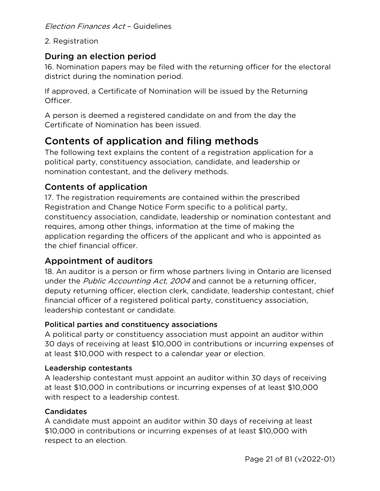#### 2. Registration

### <span id="page-20-0"></span>During an election period

16. Nomination papers may be filed with the returning officer for the electoral district during the nomination period.

If approved, a Certificate of Nomination will be issued by the Returning Officer.

A person is deemed a registered candidate on and from the day the Certificate of Nomination has been issued.

## <span id="page-20-1"></span>Contents of application and filing methods

The following text explains the content of a registration application for a political party, constituency association, candidate, and leadership or nomination contestant, and the delivery methods.

## <span id="page-20-2"></span>Contents of application

17. The registration requirements are contained within the prescribed Registration and Change Notice Form specific to a political party, constituency association, candidate, leadership or nomination contestant and requires, among other things, information at the time of making the application regarding the officers of the applicant and who is appointed as the chief financial officer.

## <span id="page-20-3"></span>Appointment of auditors

18. An auditor is a person or firm whose partners living in Ontario are licensed under the *Public Accounting Act, 2004* and cannot be a returning officer, deputy returning officer, election clerk, candidate, leadership contestant, chief financial officer of a registered political party, constituency association, leadership contestant or candidate.

#### Political parties and constituency associations

A political party or constituency association must appoint an auditor within 30 days of receiving at least \$10,000 in contributions or incurring expenses of at least \$10,000 with respect to a calendar year or election.

#### Leadership contestants

A leadership contestant must appoint an auditor within 30 days of receiving at least \$10,000 in contributions or incurring expenses of at least \$10,000 with respect to a leadership contest.

#### **Candidates**

A candidate must appoint an auditor within 30 days of receiving at least \$10,000 in contributions or incurring expenses of at least \$10,000 with respect to an election.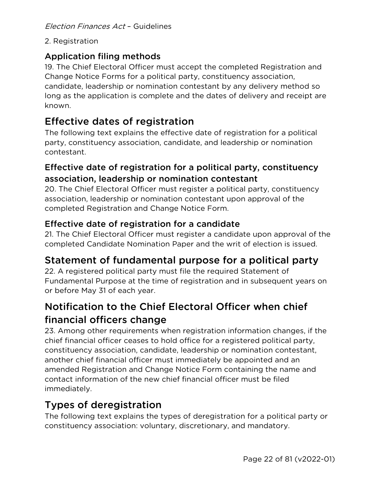## <span id="page-21-0"></span>Application filing methods

19. The Chief Electoral Officer must accept the completed Registration and Change Notice Forms for a political party, constituency association, candidate, leadership or nomination contestant by any delivery method so long as the application is complete and the dates of delivery and receipt are known.

## <span id="page-21-1"></span>Effective dates of registration

The following text explains the effective date of registration for a political party, constituency association, candidate, and leadership or nomination contestant.

## <span id="page-21-2"></span>Effective date of registration for a political party, constituency association, leadership or nomination contestant

20. The Chief Electoral Officer must register a political party, constituency association, leadership or nomination contestant upon approval of the completed Registration and Change Notice Form.

## <span id="page-21-3"></span>Effective date of registration for a candidate

21. The Chief Electoral Officer must register a candidate upon approval of the completed Candidate Nomination Paper and the writ of election is issued.

## <span id="page-21-4"></span>Statement of fundamental purpose for a political party

22. A registered political party must file the required Statement of Fundamental Purpose at the time of registration and in subsequent years on or before May 31 of each year.

## <span id="page-21-5"></span>Notification to the Chief Electoral Officer when chief financial officers change

23. Among other requirements when registration information changes, if the chief financial officer ceases to hold office for a registered political party, constituency association, candidate, leadership or nomination contestant, another chief financial officer must immediately be appointed and an amended Registration and Change Notice Form containing the name and contact information of the new chief financial officer must be filed immediately.

## <span id="page-21-6"></span>Types of deregistration

The following text explains the types of deregistration for a political party or constituency association: voluntary, discretionary, and mandatory.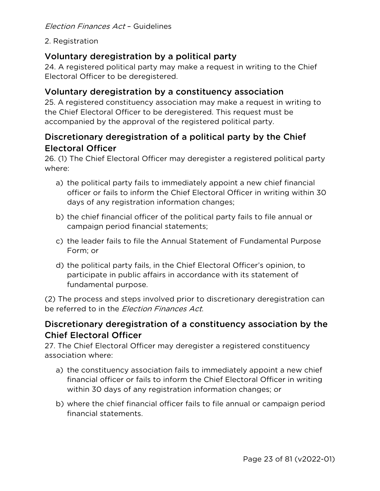## <span id="page-22-0"></span>Voluntary deregistration by a political party

24. A registered political party may make a request in writing to the Chief Electoral Officer to be deregistered.

## <span id="page-22-1"></span>Voluntary deregistration by a constituency association

25. A registered constituency association may make a request in writing to the Chief Electoral Officer to be deregistered. This request must be accompanied by the approval of the registered political party.

## <span id="page-22-2"></span>Discretionary deregistration of a political party by the Chief Electoral Officer

26. (1) The Chief Electoral Officer may deregister a registered political party where:

- a) the political party fails to immediately appoint a new chief financial officer or fails to inform the Chief Electoral Officer in writing within 30 days of any registration information changes;
- b) the chief financial officer of the political party fails to file annual or campaign period financial statements;
- c) the leader fails to file the Annual Statement of Fundamental Purpose Form; or
- d) the political party fails, in the Chief Electoral Officer's opinion, to participate in public affairs in accordance with its statement of fundamental purpose.

(2) The process and steps involved prior to discretionary deregistration can be referred to in the *Election Finances Act*.

## <span id="page-22-3"></span>Discretionary deregistration of a constituency association by the Chief Electoral Officer

27. The Chief Electoral Officer may deregister a registered constituency association where:

- a) the constituency association fails to immediately appoint a new chief financial officer or fails to inform the Chief Electoral Officer in writing within 30 days of any registration information changes; or
- b) where the chief financial officer fails to file annual or campaign period financial statements.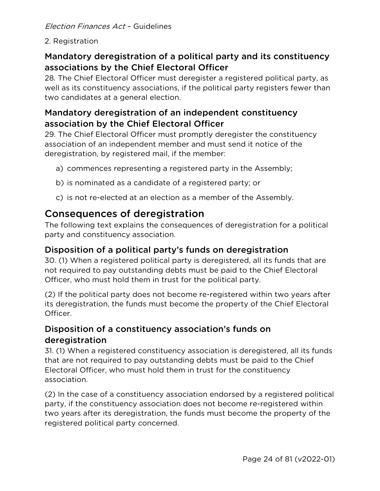## <span id="page-23-0"></span>Mandatory deregistration of a political party and its constituency associations by the Chief Electoral Officer

28. The Chief Electoral Officer must deregister a registered political party, as well as its constituency associations, if the political party registers fewer than two candidates at a general election.

## <span id="page-23-1"></span>Mandatory deregistration of an independent constituency association by the Chief Electoral Officer

29. The Chief Electoral Officer must promptly deregister the constituency association of an independent member and must send it notice of the deregistration, by registered mail, if the member:

- a) commences representing a registered party in the Assembly;
- b) is nominated as a candidate of a registered party; or
- c) is not re-elected at an election as a member of the Assembly.

## <span id="page-23-2"></span>Consequences of deregistration

The following text explains the consequences of deregistration for a political party and constituency association.

### <span id="page-23-3"></span>Disposition of a political party's funds on deregistration

30. (1) When a registered political party is deregistered, all its funds that are not required to pay outstanding debts must be paid to the Chief Electoral Officer, who must hold them in trust for the political party.

(2) If the political party does not become re-registered within two years after its deregistration, the funds must become the property of the Chief Electoral Officer.

## <span id="page-23-4"></span>Disposition of a constituency association's funds on deregistration

31. (1) When a registered constituency association is deregistered, all its funds that are not required to pay outstanding debts must be paid to the Chief Electoral Officer, who must hold them in trust for the constituency association.

(2) In the case of a constituency association endorsed by a registered political party, if the constituency association does not become re-registered within two years after its deregistration, the funds must become the property of the registered political party concerned.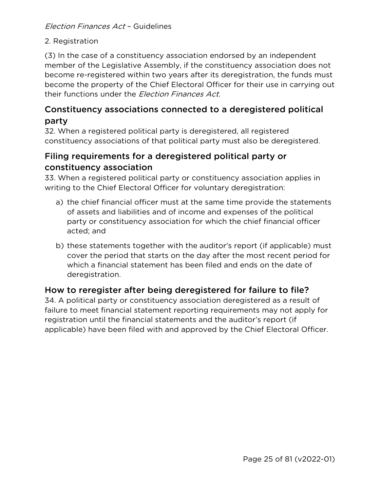### 2. Registration

(3) In the case of a constituency association endorsed by an independent member of the Legislative Assembly, if the constituency association does not become re-registered within two years after its deregistration, the funds must become the property of the Chief Electoral Officer for their use in carrying out their functions under the *Election Finances Act*.

### <span id="page-24-0"></span>Constituency associations connected to a deregistered political party

32. When a registered political party is deregistered, all registered constituency associations of that political party must also be deregistered.

### <span id="page-24-1"></span>Filing requirements for a deregistered political party or constituency association

33. When a registered political party or constituency association applies in writing to the Chief Electoral Officer for voluntary deregistration:

- a) the chief financial officer must at the same time provide the statements of assets and liabilities and of income and expenses of the political party or constituency association for which the chief financial officer acted; and
- b) these statements together with the auditor's report (if applicable) must cover the period that starts on the day after the most recent period for which a financial statement has been filed and ends on the date of deregistration.

## <span id="page-24-2"></span>How to reregister after being deregistered for failure to file?

34. A political party or constituency association deregistered as a result of failure to meet financial statement reporting requirements may not apply for registration until the financial statements and the auditor's report (if applicable) have been filed with and approved by the Chief Electoral Officer.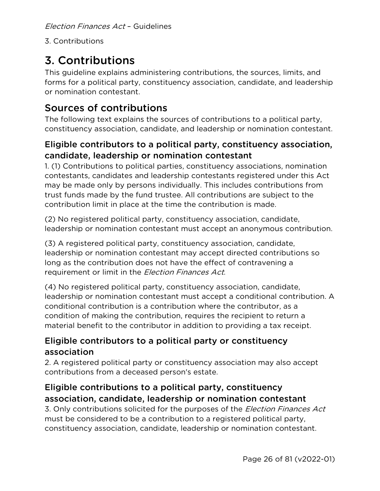## <span id="page-25-0"></span>3. Contributions

This guideline explains administering contributions, the sources, limits, and forms for a political party, constituency association, candidate, and leadership or nomination contestant.

## <span id="page-25-1"></span>Sources of contributions

The following text explains the sources of contributions to a political party, constituency association, candidate, and leadership or nomination contestant.

## <span id="page-25-2"></span>Eligible contributors to a political party, constituency association, candidate, leadership or nomination contestant

1. (1) Contributions to political parties, constituency associations, nomination contestants, candidates and leadership contestants registered under this Act may be made only by persons individually. This includes contributions from trust funds made by the fund trustee. All contributions are subject to the contribution limit in place at the time the contribution is made.

(2) No registered political party, constituency association, candidate, leadership or nomination contestant must accept an anonymous contribution.

(3) A registered political party, constituency association, candidate, leadership or nomination contestant may accept directed contributions so long as the contribution does not have the effect of contravening a requirement or limit in the *Election Finances Act*.

(4) No registered political party, constituency association, candidate, leadership or nomination contestant must accept a conditional contribution. A conditional contribution is a contribution where the contributor, as a condition of making the contribution, requires the recipient to return a material benefit to the contributor in addition to providing a tax receipt.

## <span id="page-25-3"></span>Eligible contributors to a political party or constituency association

2. A registered political party or constituency association may also accept contributions from a deceased person's estate.

## <span id="page-25-4"></span>Eligible contributions to a political party, constituency association, candidate, leadership or nomination contestant

3. Only contributions solicited for the purposes of the *Election Finances Act* must be considered to be a contribution to a registered political party, constituency association, candidate, leadership or nomination contestant.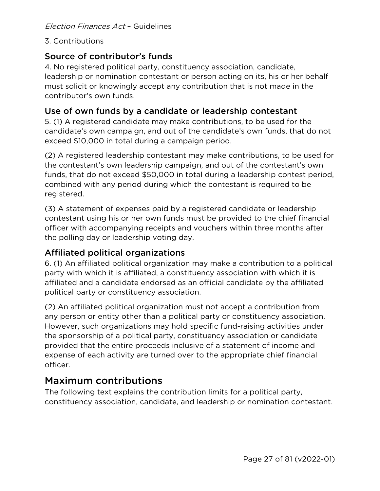## <span id="page-26-0"></span>Source of contributor's funds

4. No registered political party, constituency association, candidate, leadership or nomination contestant or person acting on its, his or her behalf must solicit or knowingly accept any contribution that is not made in the contributor's own funds.

## <span id="page-26-1"></span>Use of own funds by a candidate or leadership contestant

5. (1) A registered candidate may make contributions, to be used for the candidate's own campaign, and out of the candidate's own funds, that do not exceed \$10,000 in total during a campaign period.

(2) A registered leadership contestant may make contributions, to be used for the contestant's own leadership campaign, and out of the contestant's own funds, that do not exceed \$50,000 in total during a leadership contest period, combined with any period during which the contestant is required to be registered.

(3) A statement of expenses paid by a registered candidate or leadership contestant using his or her own funds must be provided to the chief financial officer with accompanying receipts and vouchers within three months after the polling day or leadership voting day.

## <span id="page-26-2"></span>Affiliated political organizations

6. (1) An affiliated political organization may make a contribution to a political party with which it is affiliated, a constituency association with which it is affiliated and a candidate endorsed as an official candidate by the affiliated political party or constituency association.

(2) An affiliated political organization must not accept a contribution from any person or entity other than a political party or constituency association. However, such organizations may hold specific fund-raising activities under the sponsorship of a political party, constituency association or candidate provided that the entire proceeds inclusive of a statement of income and expense of each activity are turned over to the appropriate chief financial officer.

## <span id="page-26-3"></span>Maximum contributions

The following text explains the contribution limits for a political party, constituency association, candidate, and leadership or nomination contestant.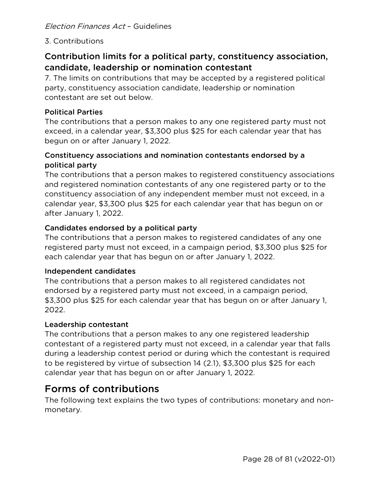## <span id="page-27-0"></span>Contribution limits for a political party, constituency association, candidate, leadership or nomination contestant

7. The limits on contributions that may be accepted by a registered political party, constituency association candidate, leadership or nomination contestant are set out below.

#### Political Parties

The contributions that a person makes to any one registered party must not exceed, in a calendar year, \$3,300 plus \$25 for each calendar year that has begun on or after January 1, 2022.

#### Constituency associations and nomination contestants endorsed by a political party

The contributions that a person makes to registered constituency associations and registered nomination contestants of any one registered party or to the constituency association of any independent member must not exceed, in a calendar year, \$3,300 plus \$25 for each calendar year that has begun on or after January 1, 2022.

#### Candidates endorsed by a political party

The contributions that a person makes to registered candidates of any one registered party must not exceed, in a campaign period, \$3,300 plus \$25 for each calendar year that has begun on or after January 1, 2022.

#### Independent candidates

The contributions that a person makes to all registered candidates not endorsed by a registered party must not exceed, in a campaign period, \$3,300 plus \$25 for each calendar year that has begun on or after January 1, 2022.

#### Leadership contestant

The contributions that a person makes to any one registered leadership contestant of a registered party must not exceed, in a calendar year that falls during a leadership contest period or during which the contestant is required to be registered by virtue of subsection 14 (2.1), \$3,300 plus \$25 for each calendar year that has begun on or after January 1, 2022.

## <span id="page-27-1"></span>Forms of contributions

The following text explains the two types of contributions: monetary and nonmonetary.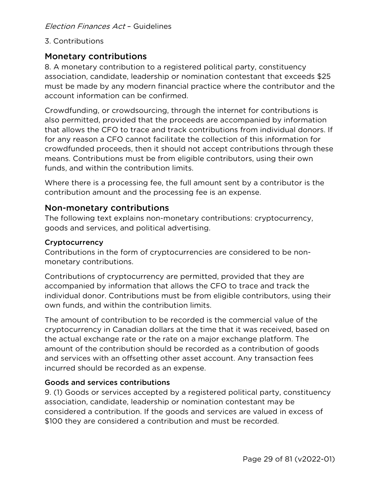### <span id="page-28-0"></span>Monetary contributions

8. A monetary contribution to a registered political party, constituency association, candidate, leadership or nomination contestant that exceeds \$25 must be made by any modern financial practice where the contributor and the account information can be confirmed.

Crowdfunding, or crowdsourcing, through the internet for contributions is also permitted, provided that the proceeds are accompanied by information that allows the CFO to trace and track contributions from individual donors. If for any reason a CFO cannot facilitate the collection of this information for crowdfunded proceeds, then it should not accept contributions through these means. Contributions must be from eligible contributors, using their own funds, and within the contribution limits.

Where there is a processing fee, the full amount sent by a contributor is the contribution amount and the processing fee is an expense.

### <span id="page-28-1"></span>Non-monetary contributions

The following text explains non-monetary contributions: cryptocurrency, goods and services, and political advertising.

#### **Cryptocurrency**

Contributions in the form of cryptocurrencies are considered to be nonmonetary contributions.

Contributions of cryptocurrency are permitted, provided that they are accompanied by information that allows the CFO to trace and track the individual donor. Contributions must be from eligible contributors, using their own funds, and within the contribution limits.

The amount of contribution to be recorded is the commercial value of the cryptocurrency in Canadian dollars at the time that it was received, based on the actual exchange rate or the rate on a major exchange platform. The amount of the contribution should be recorded as a contribution of goods and services with an offsetting other asset account. Any transaction fees incurred should be recorded as an expense.

#### Goods and services contributions

9. (1) Goods or services accepted by a registered political party, constituency association, candidate, leadership or nomination contestant may be considered a contribution. If the goods and services are valued in excess of \$100 they are considered a contribution and must be recorded.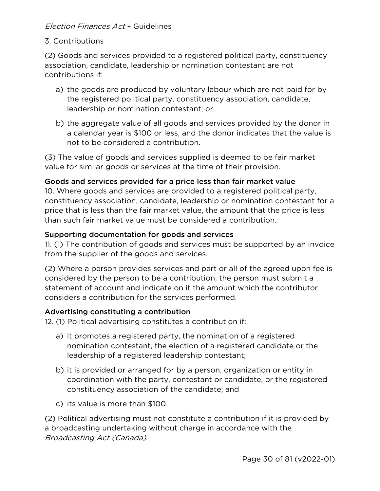#### 3. Contributions

(2) Goods and services provided to a registered political party, constituency association, candidate, leadership or nomination contestant are not contributions if:

- a) the goods are produced by voluntary labour which are not paid for by the registered political party, constituency association, candidate, leadership or nomination contestant; or
- b) the aggregate value of all goods and services provided by the donor in a calendar year is \$100 or less, and the donor indicates that the value is not to be considered a contribution.

(3) The value of goods and services supplied is deemed to be fair market value for similar goods or services at the time of their provision.

#### Goods and services provided for a price less than fair market value

10. Where goods and services are provided to a registered political party, constituency association, candidate, leadership or nomination contestant for a price that is less than the fair market value, the amount that the price is less than such fair market value must be considered a contribution.

#### Supporting documentation for goods and services

11. (1) The contribution of goods and services must be supported by an invoice from the supplier of the goods and services.

(2) Where a person provides services and part or all of the agreed upon fee is considered by the person to be a contribution, the person must submit a statement of account and indicate on it the amount which the contributor considers a contribution for the services performed.

#### Advertising constituting a contribution

12. (1) Political advertising constitutes a contribution if:

- a) it promotes a registered party, the nomination of a registered nomination contestant, the election of a registered candidate or the leadership of a registered leadership contestant;
- b) it is provided or arranged for by a person, organization or entity in coordination with the party, contestant or candidate, or the registered constituency association of the candidate; and
- c) its value is more than \$100.

(2) Political advertising must not constitute a contribution if it is provided by a broadcasting undertaking without charge in accordance with the Broadcasting Act (Canada).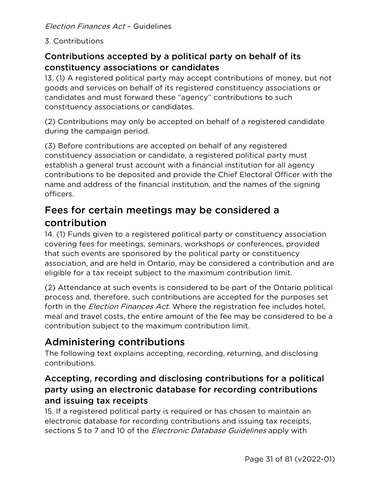## <span id="page-30-0"></span>Contributions accepted by a political party on behalf of its constituency associations or candidates

13. (1) A registered political party may accept contributions of money, but not goods and services on behalf of its registered constituency associations or candidates and must forward these "agency" contributions to such constituency associations or candidates.

(2) Contributions may only be accepted on behalf of a registered candidate during the campaign period.

(3) Before contributions are accepted on behalf of any registered constituency association or candidate, a registered political party must establish a general trust account with a financial institution for all agency contributions to be deposited and provide the Chief Electoral Officer with the name and address of the financial institution, and the names of the signing officers.

## <span id="page-30-1"></span>Fees for certain meetings may be considered a contribution

14. (1) Funds given to a registered political party or constituency association covering fees for meetings, seminars, workshops or conferences, provided that such events are sponsored by the political party or constituency association, and are held in Ontario, may be considered a contribution and are eligible for a tax receipt subject to the maximum contribution limit.

(2) Attendance at such events is considered to be part of the Ontario political process and, therefore, such contributions are accepted for the purposes set forth in the *Election Finances Act*. Where the registration fee includes hotel, meal and travel costs, the entire amount of the fee may be considered to be a contribution subject to the maximum contribution limit.

## <span id="page-30-2"></span>Administering contributions

The following text explains accepting, recording, returning, and disclosing contributions.

## <span id="page-30-3"></span>Accepting, recording and disclosing contributions for a political party using an electronic database for recording contributions and issuing tax receipts

15. If a registered political party is required or has chosen to maintain an electronic database for recording contributions and issuing tax receipts, sections 5 to 7 and 10 of the *Electronic Database Guidelines* apply with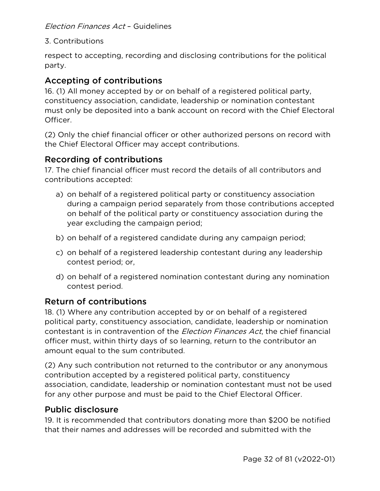#### 3. Contributions

respect to accepting, recording and disclosing contributions for the political party.

### <span id="page-31-0"></span>Accepting of contributions

16. (1) All money accepted by or on behalf of a registered political party, constituency association, candidate, leadership or nomination contestant must only be deposited into a bank account on record with the Chief Electoral Officer.

(2) Only the chief financial officer or other authorized persons on record with the Chief Electoral Officer may accept contributions.

### <span id="page-31-1"></span>Recording of contributions

17. The chief financial officer must record the details of all contributors and contributions accepted:

- a) on behalf of a registered political party or constituency association during a campaign period separately from those contributions accepted on behalf of the political party or constituency association during the year excluding the campaign period;
- b) on behalf of a registered candidate during any campaign period;
- c) on behalf of a registered leadership contestant during any leadership contest period; or,
- d) on behalf of a registered nomination contestant during any nomination contest period.

## <span id="page-31-2"></span>Return of contributions

18. (1) Where any contribution accepted by or on behalf of a registered political party, constituency association, candidate, leadership or nomination contestant is in contravention of the *Election Finances Act*, the chief financial officer must, within thirty days of so learning, return to the contributor an amount equal to the sum contributed.

(2) Any such contribution not returned to the contributor or any anonymous contribution accepted by a registered political party, constituency association, candidate, leadership or nomination contestant must not be used for any other purpose and must be paid to the Chief Electoral Officer.

### <span id="page-31-3"></span>Public disclosure

19. It is recommended that contributors donating more than \$200 be notified that their names and addresses will be recorded and submitted with the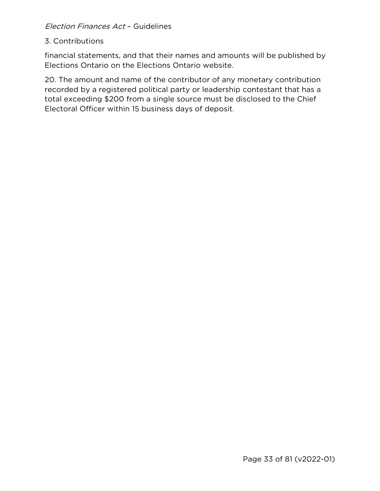#### 3. Contributions

financial statements, and that their names and amounts will be published by Elections Ontario on the Elections Ontario website.

20. The amount and name of the contributor of any monetary contribution recorded by a registered political party or leadership contestant that has a total exceeding \$200 from a single source must be disclosed to the Chief Electoral Officer within 15 business days of deposit.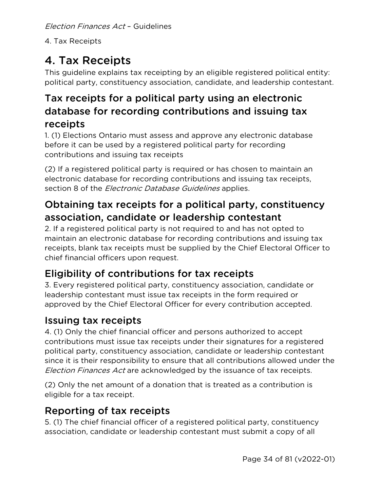4. Tax Receipts

## <span id="page-33-0"></span>4. Tax Receipts

This guideline explains tax receipting by an eligible registered political entity: political party, constituency association, candidate, and leadership contestant.

## <span id="page-33-1"></span>Tax receipts for a political party using an electronic database for recording contributions and issuing tax receipts

1. (1) Elections Ontario must assess and approve any electronic database before it can be used by a registered political party for recording contributions and issuing tax receipts

(2) If a registered political party is required or has chosen to maintain an electronic database for recording contributions and issuing tax receipts, section 8 of the *Electronic Database Guidelines* applies.

## <span id="page-33-2"></span>Obtaining tax receipts for a political party, constituency association, candidate or leadership contestant

2. If a registered political party is not required to and has not opted to maintain an electronic database for recording contributions and issuing tax receipts, blank tax receipts must be supplied by the Chief Electoral Officer to chief financial officers upon request.

## <span id="page-33-3"></span>Eligibility of contributions for tax receipts

3. Every registered political party, constituency association, candidate or leadership contestant must issue tax receipts in the form required or approved by the Chief Electoral Officer for every contribution accepted.

## <span id="page-33-4"></span>Issuing tax receipts

4. (1) Only the chief financial officer and persons authorized to accept contributions must issue tax receipts under their signatures for a registered political party, constituency association, candidate or leadership contestant since it is their responsibility to ensure that all contributions allowed under the Election Finances Act are acknowledged by the issuance of tax receipts.

(2) Only the net amount of a donation that is treated as a contribution is eligible for a tax receipt.

## <span id="page-33-5"></span>Reporting of tax receipts

5. (1) The chief financial officer of a registered political party, constituency association, candidate or leadership contestant must submit a copy of all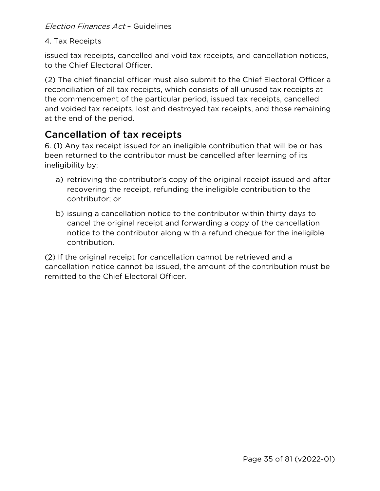### 4. Tax Receipts

issued tax receipts, cancelled and void tax receipts, and cancellation notices, to the Chief Electoral Officer.

(2) The chief financial officer must also submit to the Chief Electoral Officer a reconciliation of all tax receipts, which consists of all unused tax receipts at the commencement of the particular period, issued tax receipts, cancelled and voided tax receipts, lost and destroyed tax receipts, and those remaining at the end of the period.

## <span id="page-34-0"></span>Cancellation of tax receipts

6. (1) Any tax receipt issued for an ineligible contribution that will be or has been returned to the contributor must be cancelled after learning of its ineligibility by:

- a) retrieving the contributor's copy of the original receipt issued and after recovering the receipt, refunding the ineligible contribution to the contributor; or
- b) issuing a cancellation notice to the contributor within thirty days to cancel the original receipt and forwarding a copy of the cancellation notice to the contributor along with a refund cheque for the ineligible contribution.

(2) If the original receipt for cancellation cannot be retrieved and a cancellation notice cannot be issued, the amount of the contribution must be remitted to the Chief Electoral Officer.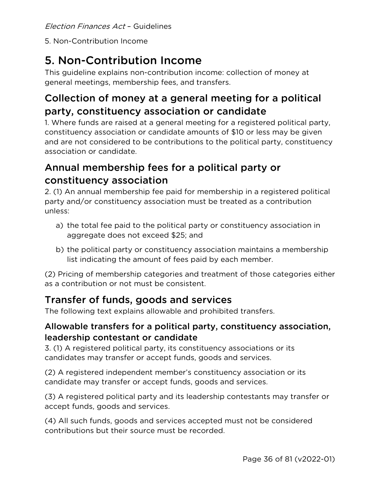5. Non-Contribution Income

## <span id="page-35-0"></span>5. Non-Contribution Income

This guideline explains non-contribution income: collection of money at general meetings, membership fees, and transfers.

## <span id="page-35-1"></span>Collection of money at a general meeting for a political party, constituency association or candidate

1. Where funds are raised at a general meeting for a registered political party, constituency association or candidate amounts of \$10 or less may be given and are not considered to be contributions to the political party, constituency association or candidate.

## <span id="page-35-2"></span>Annual membership fees for a political party or constituency association

2. (1) An annual membership fee paid for membership in a registered political party and/or constituency association must be treated as a contribution unless:

- a) the total fee paid to the political party or constituency association in aggregate does not exceed \$25; and
- b) the political party or constituency association maintains a membership list indicating the amount of fees paid by each member.

(2) Pricing of membership categories and treatment of those categories either as a contribution or not must be consistent.

## <span id="page-35-3"></span>Transfer of funds, goods and services

The following text explains allowable and prohibited transfers.

## <span id="page-35-4"></span>Allowable transfers for a political party, constituency association, leadership contestant or candidate

3. (1) A registered political party, its constituency associations or its candidates may transfer or accept funds, goods and services.

(2) A registered independent member's constituency association or its candidate may transfer or accept funds, goods and services.

(3) A registered political party and its leadership contestants may transfer or accept funds, goods and services.

(4) All such funds, goods and services accepted must not be considered contributions but their source must be recorded.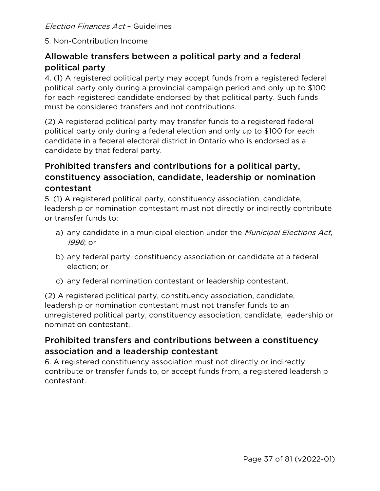5. Non-Contribution Income

### Allowable transfers between a political party and a federal political party

4. (1) A registered political party may accept funds from a registered federal political party only during a provincial campaign period and only up to \$100 for each registered candidate endorsed by that political party. Such funds must be considered transfers and not contributions.

(2) A registered political party may transfer funds to a registered federal political party only during a federal election and only up to \$100 for each candidate in a federal electoral district in Ontario who is endorsed as a candidate by that federal party.

### Prohibited transfers and contributions for a political party, constituency association, candidate, leadership or nomination contestant

5. (1) A registered political party, constituency association, candidate, leadership or nomination contestant must not directly or indirectly contribute or transfer funds to:

- a) any candidate in a municipal election under the *Municipal Elections Act*, 1996; or
- b) any federal party, constituency association or candidate at a federal election; or
- c) any federal nomination contestant or leadership contestant.

(2) A registered political party, constituency association, candidate, leadership or nomination contestant must not transfer funds to an unregistered political party, constituency association, candidate, leadership or nomination contestant.

### Prohibited transfers and contributions between a constituency association and a leadership contestant

6. A registered constituency association must not directly or indirectly contribute or transfer funds to, or accept funds from, a registered leadership contestant.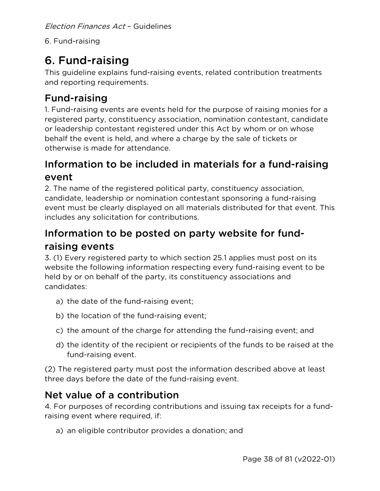6. Fund-raising

# 6. Fund-raising

This guideline explains fund-raising events, related contribution treatments and reporting requirements.

## Fund-raising

1. Fund-raising events are events held for the purpose of raising monies for a registered party, constituency association, nomination contestant, candidate or leadership contestant registered under this Act by whom or on whose behalf the event is held, and where a charge by the sale of tickets or otherwise is made for attendance.

## Information to be included in materials for a fund-raising event

2. The name of the registered political party, constituency association, candidate, leadership or nomination contestant sponsoring a fund-raising event must be clearly displayed on all materials distributed for that event. This includes any solicitation for contributions.

## Information to be posted on party website for fundraising events

3. (1) Every registered party to which section 25.1 applies must post on its website the following information respecting every fund-raising event to be held by or on behalf of the party, its constituency associations and candidates:

- a) the date of the fund-raising event;
- b) the location of the fund-raising event;
- c) the amount of the charge for attending the fund-raising event; and
- d) the identity of the recipient or recipients of the funds to be raised at the fund-raising event.

(2) The registered party must post the information described above at least three days before the date of the fund-raising event.

## Net value of a contribution

4. For purposes of recording contributions and issuing tax receipts for a fundraising event where required, if:

a) an eligible contributor provides a donation; and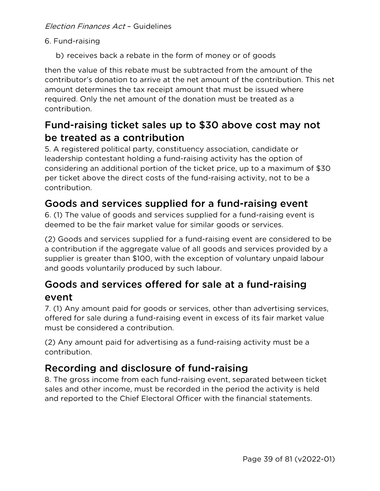#### 6. Fund-raising

b) receives back a rebate in the form of money or of goods

then the value of this rebate must be subtracted from the amount of the contributor's donation to arrive at the net amount of the contribution. This net amount determines the tax receipt amount that must be issued where required. Only the net amount of the donation must be treated as a contribution.

## Fund-raising ticket sales up to \$30 above cost may not be treated as a contribution

5. A registered political party, constituency association, candidate or leadership contestant holding a fund-raising activity has the option of considering an additional portion of the ticket price, up to a maximum of \$30 per ticket above the direct costs of the fund-raising activity, not to be a contribution.

### Goods and services supplied for a fund-raising event

6. (1) The value of goods and services supplied for a fund-raising event is deemed to be the fair market value for similar goods or services.

(2) Goods and services supplied for a fund-raising event are considered to be a contribution if the aggregate value of all goods and services provided by a supplier is greater than \$100, with the exception of voluntary unpaid labour and goods voluntarily produced by such labour.

## Goods and services offered for sale at a fund-raising event

7. (1) Any amount paid for goods or services, other than advertising services, offered for sale during a fund-raising event in excess of its fair market value must be considered a contribution.

(2) Any amount paid for advertising as a fund-raising activity must be a contribution.

## Recording and disclosure of fund-raising

8. The gross income from each fund-raising event, separated between ticket sales and other income, must be recorded in the period the activity is held and reported to the Chief Electoral Officer with the financial statements.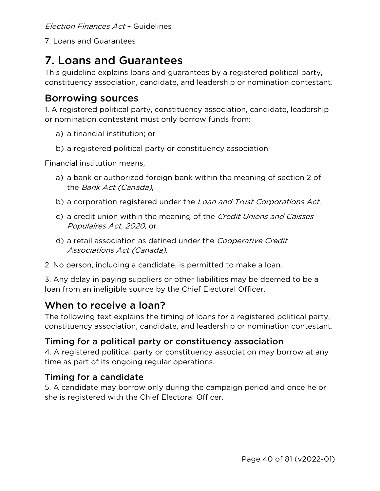7. Loans and Guarantees

# 7. Loans and Guarantees

This guideline explains loans and guarantees by a registered political party, constituency association, candidate, and leadership or nomination contestant.

## Borrowing sources

1. A registered political party, constituency association, candidate, leadership or nomination contestant must only borrow funds from:

- a) a financial institution; or
- b) a registered political party or constituency association.

Financial institution means,

- a) a bank or authorized foreign bank within the meaning of section 2 of the *Bank Act (Canada)*,
- b) a corporation registered under the Loan and Trust Corporations Act,
- c) a credit union within the meaning of the Credit Unions and Caisses Populaires Act, 2020, or
- d) a retail association as defined under the *Cooperative Credit* Associations Act (Canada).
- 2. No person, including a candidate, is permitted to make a loan.

3. Any delay in paying suppliers or other liabilities may be deemed to be a loan from an ineligible source by the Chief Electoral Officer.

## When to receive a loan?

The following text explains the timing of loans for a registered political party, constituency association, candidate, and leadership or nomination contestant.

### Timing for a political party or constituency association

4. A registered political party or constituency association may borrow at any time as part of its ongoing regular operations.

### Timing for a candidate

5. A candidate may borrow only during the campaign period and once he or she is registered with the Chief Electoral Officer.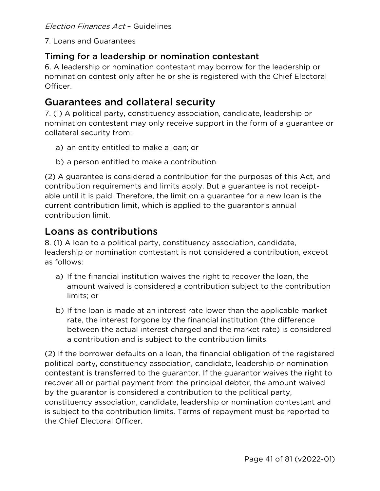7. Loans and Guarantees

### Timing for a leadership or nomination contestant

6. A leadership or nomination contestant may borrow for the leadership or nomination contest only after he or she is registered with the Chief Electoral Officer.

## Guarantees and collateral security

7. (1) A political party, constituency association, candidate, leadership or nomination contestant may only receive support in the form of a guarantee or collateral security from:

- a) an entity entitled to make a loan; or
- b) a person entitled to make a contribution.

(2) A guarantee is considered a contribution for the purposes of this Act, and contribution requirements and limits apply. But a guarantee is not receiptable until it is paid. Therefore, the limit on a guarantee for a new loan is the current contribution limit, which is applied to the guarantor's annual contribution limit.

### Loans as contributions

8. (1) A loan to a political party, constituency association, candidate, leadership or nomination contestant is not considered a contribution, except as follows:

- a) If the financial institution waives the right to recover the loan, the amount waived is considered a contribution subject to the contribution limits; or
- b) If the loan is made at an interest rate lower than the applicable market rate, the interest forgone by the financial institution (the difference between the actual interest charged and the market rate) is considered a contribution and is subject to the contribution limits.

(2) If the borrower defaults on a loan, the financial obligation of the registered political party, constituency association, candidate, leadership or nomination contestant is transferred to the guarantor. If the guarantor waives the right to recover all or partial payment from the principal debtor, the amount waived by the guarantor is considered a contribution to the political party, constituency association, candidate, leadership or nomination contestant and is subject to the contribution limits. Terms of repayment must be reported to the Chief Electoral Officer.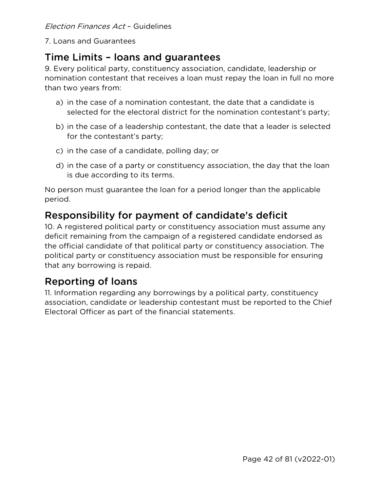#### 7. Loans and Guarantees

## Time Limits – loans and guarantees

9. Every political party, constituency association, candidate, leadership or nomination contestant that receives a loan must repay the loan in full no more than two years from:

- a) in the case of a nomination contestant, the date that a candidate is selected for the electoral district for the nomination contestant's party;
- b) in the case of a leadership contestant, the date that a leader is selected for the contestant's party;
- c) in the case of a candidate, polling day; or
- d) in the case of a party or constituency association, the day that the loan is due according to its terms.

No person must guarantee the loan for a period longer than the applicable period.

### Responsibility for payment of candidate's deficit

10. A registered political party or constituency association must assume any deficit remaining from the campaign of a registered candidate endorsed as the official candidate of that political party or constituency association. The political party or constituency association must be responsible for ensuring that any borrowing is repaid.

## Reporting of loans

11. Information regarding any borrowings by a political party, constituency association, candidate or leadership contestant must be reported to the Chief Electoral Officer as part of the financial statements.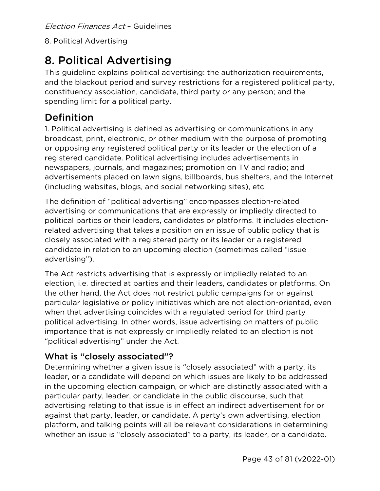8. Political Advertising

# 8. Political Advertising

This guideline explains political advertising: the authorization requirements, and the blackout period and survey restrictions for a registered political party, constituency association, candidate, third party or any person; and the spending limit for a political party.

## Definition

1. Political advertising is defined as advertising or communications in any broadcast, print, electronic, or other medium with the purpose of promoting or opposing any registered political party or its leader or the election of a registered candidate. Political advertising includes advertisements in newspapers, journals, and magazines; promotion on TV and radio; and advertisements placed on lawn signs, billboards, bus shelters, and the Internet (including websites, blogs, and social networking sites), etc.

The definition of "political advertising" encompasses election-related advertising or communications that are expressly or impliedly directed to political parties or their leaders, candidates or platforms. It includes electionrelated advertising that takes a position on an issue of public policy that is closely associated with a registered party or its leader or a registered candidate in relation to an upcoming election (sometimes called "issue advertising").

The Act restricts advertising that is expressly or impliedly related to an election, i.e. directed at parties and their leaders, candidates or platforms. On the other hand, the Act does not restrict public campaigns for or against particular legislative or policy initiatives which are not election-oriented, even when that advertising coincides with a regulated period for third party political advertising. In other words, issue advertising on matters of public importance that is not expressly or impliedly related to an election is not "political advertising" under the Act.

### What is "closely associated"?

Determining whether a given issue is "closely associated" with a party, its leader, or a candidate will depend on which issues are likely to be addressed in the upcoming election campaign, or which are distinctly associated with a particular party, leader, or candidate in the public discourse, such that advertising relating to that issue is in effect an indirect advertisement for or against that party, leader, or candidate. A party's own advertising, election platform, and talking points will all be relevant considerations in determining whether an issue is "closely associated" to a party, its leader, or a candidate.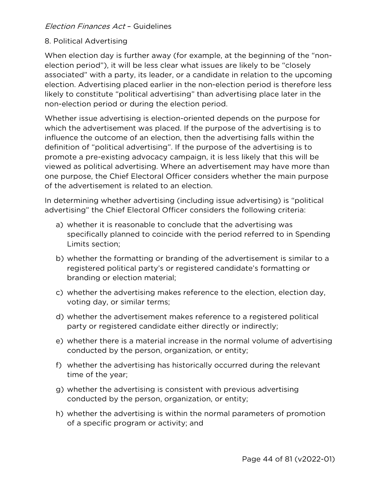#### 8. Political Advertising

When election day is further away (for example, at the beginning of the "nonelection period"), it will be less clear what issues are likely to be "closely associated" with a party, its leader, or a candidate in relation to the upcoming election. Advertising placed earlier in the non-election period is therefore less likely to constitute "political advertising" than advertising place later in the non-election period or during the election period.

Whether issue advertising is election-oriented depends on the purpose for which the advertisement was placed. If the purpose of the advertising is to influence the outcome of an election, then the advertising falls within the definition of "political advertising". If the purpose of the advertising is to promote a pre-existing advocacy campaign, it is less likely that this will be viewed as political advertising. Where an advertisement may have more than one purpose, the Chief Electoral Officer considers whether the main purpose of the advertisement is related to an election.

In determining whether advertising (including issue advertising) is "political advertising" the Chief Electoral Officer considers the following criteria:

- a) whether it is reasonable to conclude that the advertising was specifically planned to coincide with the period referred to in Spending Limits section;
- b) whether the formatting or branding of the advertisement is similar to a registered political party's or registered candidate's formatting or branding or election material;
- c) whether the advertising makes reference to the election, election day, voting day, or similar terms;
- d) whether the advertisement makes reference to a registered political party or registered candidate either directly or indirectly;
- e) whether there is a material increase in the normal volume of advertising conducted by the person, organization, or entity;
- f) whether the advertising has historically occurred during the relevant time of the year;
- g) whether the advertising is consistent with previous advertising conducted by the person, organization, or entity;
- h) whether the advertising is within the normal parameters of promotion of a specific program or activity; and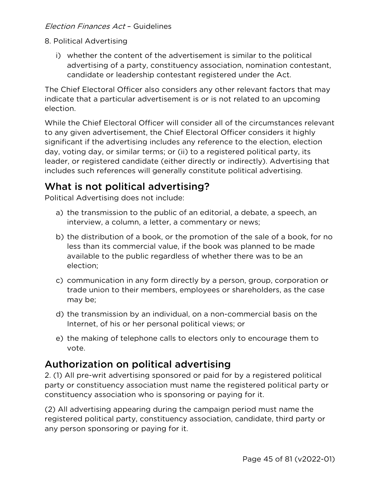#### 8. Political Advertising

i) whether the content of the advertisement is similar to the political advertising of a party, constituency association, nomination contestant, candidate or leadership contestant registered under the Act.

The Chief Electoral Officer also considers any other relevant factors that may indicate that a particular advertisement is or is not related to an upcoming election.

While the Chief Electoral Officer will consider all of the circumstances relevant to any given advertisement, the Chief Electoral Officer considers it highly significant if the advertising includes any reference to the election, election day, voting day, or similar terms; or (ii) to a registered political party, its leader, or registered candidate (either directly or indirectly). Advertising that includes such references will generally constitute political advertising.

### What is not political advertising?

Political Advertising does not include:

- a) the transmission to the public of an editorial, a debate, a speech, an interview, a column, a letter, a commentary or news;
- b) the distribution of a book, or the promotion of the sale of a book, for no less than its commercial value, if the book was planned to be made available to the public regardless of whether there was to be an election;
- c) communication in any form directly by a person, group, corporation or trade union to their members, employees or shareholders, as the case may be;
- d) the transmission by an individual, on a non-commercial basis on the Internet, of his or her personal political views; or
- e) the making of telephone calls to electors only to encourage them to vote.

## Authorization on political advertising

2. (1) All pre-writ advertising sponsored or paid for by a registered political party or constituency association must name the registered political party or constituency association who is sponsoring or paying for it.

(2) All advertising appearing during the campaign period must name the registered political party, constituency association, candidate, third party or any person sponsoring or paying for it.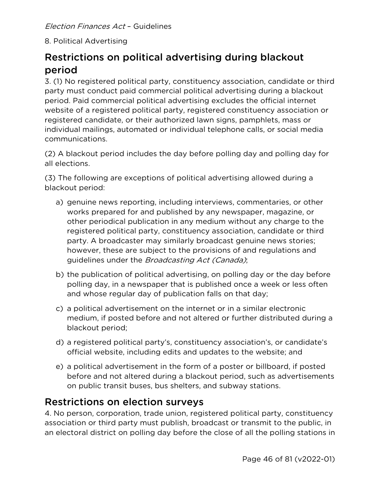8. Political Advertising

## Restrictions on political advertising during blackout period

3. (1) No registered political party, constituency association, candidate or third party must conduct paid commercial political advertising during a blackout period. Paid commercial political advertising excludes the official internet website of a registered political party, registered constituency association or registered candidate, or their authorized lawn signs, pamphlets, mass or individual mailings, automated or individual telephone calls, or social media communications.

(2) A blackout period includes the day before polling day and polling day for all elections.

(3) The following are exceptions of political advertising allowed during a blackout period:

- a) genuine news reporting, including interviews, commentaries, or other works prepared for and published by any newspaper, magazine, or other periodical publication in any medium without any charge to the registered political party, constituency association, candidate or third party. A broadcaster may similarly broadcast genuine news stories; however, these are subject to the provisions of and regulations and guidelines under the Broadcasting Act (Canada);
- b) the publication of political advertising, on polling day or the day before polling day, in a newspaper that is published once a week or less often and whose regular day of publication falls on that day;
- c) a political advertisement on the internet or in a similar electronic medium, if posted before and not altered or further distributed during a blackout period;
- d) a registered political party's, constituency association's, or candidate's official website, including edits and updates to the website; and
- e) a political advertisement in the form of a poster or billboard, if posted before and not altered during a blackout period, such as advertisements on public transit buses, bus shelters, and subway stations.

## Restrictions on election surveys

4. No person, corporation, trade union, registered political party, constituency association or third party must publish, broadcast or transmit to the public, in an electoral district on polling day before the close of all the polling stations in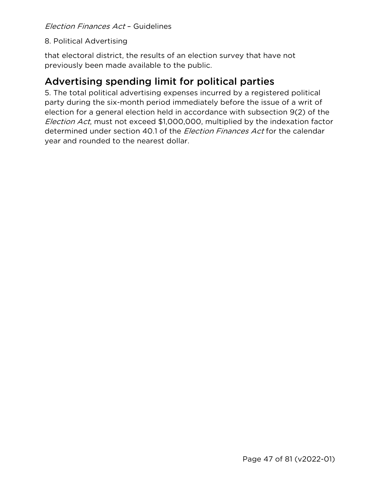#### 8. Political Advertising

that electoral district, the results of an election survey that have not previously been made available to the public.

### Advertising spending limit for political parties

5. The total political advertising expenses incurred by a registered political party during the six-month period immediately before the issue of a writ of election for a general election held in accordance with subsection 9(2) of the Election Act, must not exceed \$1,000,000, multiplied by the indexation factor determined under section 40.1 of the *Election Finances Act* for the calendar year and rounded to the nearest dollar.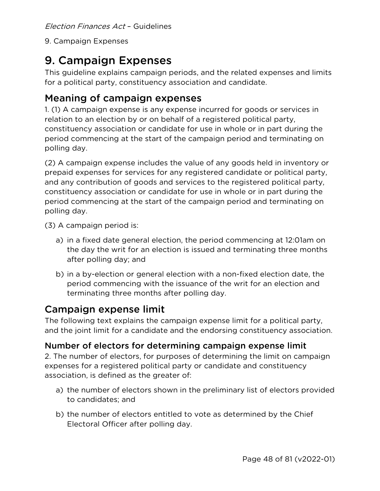9. Campaign Expenses

# 9. Campaign Expenses

This guideline explains campaign periods, and the related expenses and limits for a political party, constituency association and candidate.

## Meaning of campaign expenses

1. (1) A campaign expense is any expense incurred for goods or services in relation to an election by or on behalf of a registered political party, constituency association or candidate for use in whole or in part during the period commencing at the start of the campaign period and terminating on polling day.

(2) A campaign expense includes the value of any goods held in inventory or prepaid expenses for services for any registered candidate or political party, and any contribution of goods and services to the registered political party, constituency association or candidate for use in whole or in part during the period commencing at the start of the campaign period and terminating on polling day.

(3) A campaign period is:

- a) in a fixed date general election, the period commencing at 12:01am on the day the writ for an election is issued and terminating three months after polling day; and
- b) in a by-election or general election with a non-fixed election date, the period commencing with the issuance of the writ for an election and terminating three months after polling day.

## Campaign expense limit

The following text explains the campaign expense limit for a political party, and the joint limit for a candidate and the endorsing constituency association.

### Number of electors for determining campaign expense limit

2. The number of electors, for purposes of determining the limit on campaign expenses for a registered political party or candidate and constituency association, is defined as the greater of:

- a) the number of electors shown in the preliminary list of electors provided to candidates; and
- b) the number of electors entitled to vote as determined by the Chief Electoral Officer after polling day.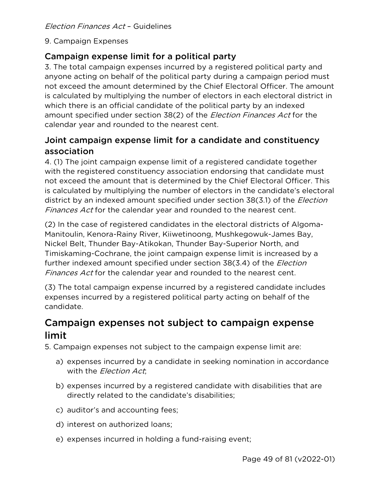#### 9. Campaign Expenses

### Campaign expense limit for a political party

3. The total campaign expenses incurred by a registered political party and anyone acting on behalf of the political party during a campaign period must not exceed the amount determined by the Chief Electoral Officer. The amount is calculated by multiplying the number of electors in each electoral district in which there is an official candidate of the political party by an indexed amount specified under section 38(2) of the *Election Finances Act* for the calendar year and rounded to the nearest cent.

### Joint campaign expense limit for a candidate and constituency association

4. (1) The joint campaign expense limit of a registered candidate together with the registered constituency association endorsing that candidate must not exceed the amount that is determined by the Chief Electoral Officer. This is calculated by multiplying the number of electors in the candidate's electoral district by an indexed amount specified under section 38(3.1) of the *Election* Finances Act for the calendar year and rounded to the nearest cent.

(2) In the case of registered candidates in the electoral districts of Algoma-Manitoulin, Kenora-Rainy River, Kiiwetinoong, Mushkegowuk-James Bay, Nickel Belt, Thunder Bay-Atikokan, Thunder Bay-Superior North, and Timiskaming-Cochrane, the joint campaign expense limit is increased by a further indexed amount specified under section 38(3.4) of the *Election* Finances Act for the calendar year and rounded to the nearest cent.

(3) The total campaign expense incurred by a registered candidate includes expenses incurred by a registered political party acting on behalf of the candidate.

### Campaign expenses not subject to campaign expense limit

5. Campaign expenses not subject to the campaign expense limit are:

- a) expenses incurred by a candidate in seeking nomination in accordance with the *Election Act*,
- b) expenses incurred by a registered candidate with disabilities that are directly related to the candidate's disabilities;
- c) auditor's and accounting fees;
- d) interest on authorized loans;
- e) expenses incurred in holding a fund-raising event;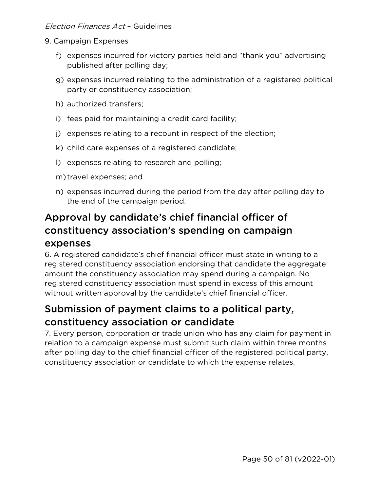- 9. Campaign Expenses
	- f) expenses incurred for victory parties held and "thank you" advertising published after polling day;
	- g) expenses incurred relating to the administration of a registered political party or constituency association;
	- h) authorized transfers;
	- i) fees paid for maintaining a credit card facility;
	- j) expenses relating to a recount in respect of the election;
	- k) child care expenses of a registered candidate;
	- l) expenses relating to research and polling;
	- m) travel expenses; and
	- n) expenses incurred during the period from the day after polling day to the end of the campaign period.

### Approval by candidate's chief financial officer of constituency association's spending on campaign expenses

6. A registered candidate's chief financial officer must state in writing to a registered constituency association endorsing that candidate the aggregate amount the constituency association may spend during a campaign. No registered constituency association must spend in excess of this amount without written approval by the candidate's chief financial officer.

## Submission of payment claims to a political party, constituency association or candidate

7. Every person, corporation or trade union who has any claim for payment in relation to a campaign expense must submit such claim within three months after polling day to the chief financial officer of the registered political party, constituency association or candidate to which the expense relates.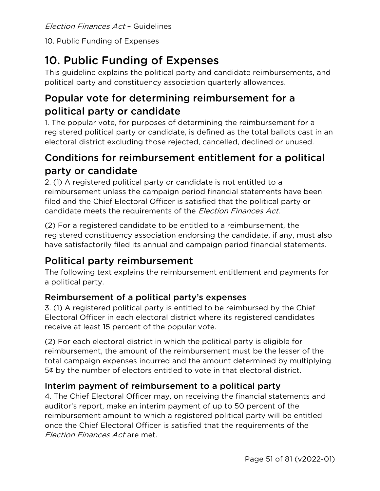10. Public Funding of Expenses

# 10. Public Funding of Expenses

This guideline explains the political party and candidate reimbursements, and political party and constituency association quarterly allowances.

## Popular vote for determining reimbursement for a political party or candidate

1. The popular vote, for purposes of determining the reimbursement for a registered political party or candidate, is defined as the total ballots cast in an electoral district excluding those rejected, cancelled, declined or unused.

## Conditions for reimbursement entitlement for a political party or candidate

2. (1) A registered political party or candidate is not entitled to a reimbursement unless the campaign period financial statements have been filed and the Chief Electoral Officer is satisfied that the political party or candidate meets the requirements of the *Election Finances Act*.

(2) For a registered candidate to be entitled to a reimbursement, the registered constituency association endorsing the candidate, if any, must also have satisfactorily filed its annual and campaign period financial statements.

# Political party reimbursement

The following text explains the reimbursement entitlement and payments for a political party.

### Reimbursement of a political party's expenses

3. (1) A registered political party is entitled to be reimbursed by the Chief Electoral Officer in each electoral district where its registered candidates receive at least 15 percent of the popular vote.

(2) For each electoral district in which the political party is eligible for reimbursement, the amount of the reimbursement must be the lesser of the total campaign expenses incurred and the amount determined by multiplying 5¢ by the number of electors entitled to vote in that electoral district.

### Interim payment of reimbursement to a political party

4. The Chief Electoral Officer may, on receiving the financial statements and auditor's report, make an interim payment of up to 50 percent of the reimbursement amount to which a registered political party will be entitled once the Chief Electoral Officer is satisfied that the requirements of the Election Finances Act are met.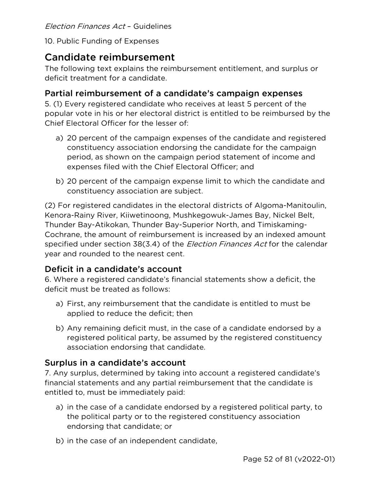10. Public Funding of Expenses

### Candidate reimbursement

The following text explains the reimbursement entitlement, and surplus or deficit treatment for a candidate.

#### Partial reimbursement of a candidate's campaign expenses

5. (1) Every registered candidate who receives at least 5 percent of the popular vote in his or her electoral district is entitled to be reimbursed by the Chief Electoral Officer for the lesser of:

- a) 20 percent of the campaign expenses of the candidate and registered constituency association endorsing the candidate for the campaign period, as shown on the campaign period statement of income and expenses filed with the Chief Electoral Officer; and
- b) 20 percent of the campaign expense limit to which the candidate and constituency association are subject.

(2) For registered candidates in the electoral districts of Algoma-Manitoulin, Kenora-Rainy River, Kiiwetinoong, Mushkegowuk-James Bay, Nickel Belt, Thunder Bay-Atikokan, Thunder Bay-Superior North, and Timiskaming-Cochrane, the amount of reimbursement is increased by an indexed amount specified under section 38(3.4) of the *Election Finances Act* for the calendar year and rounded to the nearest cent.

### Deficit in a candidate's account

6. Where a registered candidate's financial statements show a deficit, the deficit must be treated as follows:

- a) First, any reimbursement that the candidate is entitled to must be applied to reduce the deficit; then
- b) Any remaining deficit must, in the case of a candidate endorsed by a registered political party, be assumed by the registered constituency association endorsing that candidate.

### Surplus in a candidate's account

7. Any surplus, determined by taking into account a registered candidate's financial statements and any partial reimbursement that the candidate is entitled to, must be immediately paid:

- a) in the case of a candidate endorsed by a registered political party, to the political party or to the registered constituency association endorsing that candidate; or
- b) in the case of an independent candidate,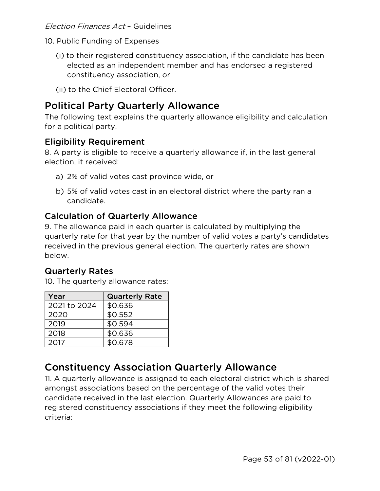- 10. Public Funding of Expenses
	- (i) to their registered constituency association, if the candidate has been elected as an independent member and has endorsed a registered constituency association, or
	- (ii) to the Chief Electoral Officer.

### Political Party Quarterly Allowance

The following text explains the quarterly allowance eligibility and calculation for a political party.

#### Eligibility Requirement

8. A party is eligible to receive a quarterly allowance if, in the last general election, it received:

- a) 2% of valid votes cast province wide, or
- b) 5% of valid votes cast in an electoral district where the party ran a candidate.

#### Calculation of Quarterly Allowance

9. The allowance paid in each quarter is calculated by multiplying the quarterly rate for that year by the number of valid votes a party's candidates received in the previous general election. The quarterly rates are shown below.

#### Quarterly Rates

10. The quarterly allowance rates:

| Year         | <b>Quarterly Rate</b> |
|--------------|-----------------------|
| 2021 to 2024 | \$0.636               |
| 2020         | \$0.552               |
| 2019         | \$0.594               |
| 2018         | \$0.636               |
| 2017         | \$0.678               |

### Constituency Association Quarterly Allowance

11. A quarterly allowance is assigned to each electoral district which is shared amongst associations based on the percentage of the valid votes their candidate received in the last election. Quarterly Allowances are paid to registered constituency associations if they meet the following eligibility criteria: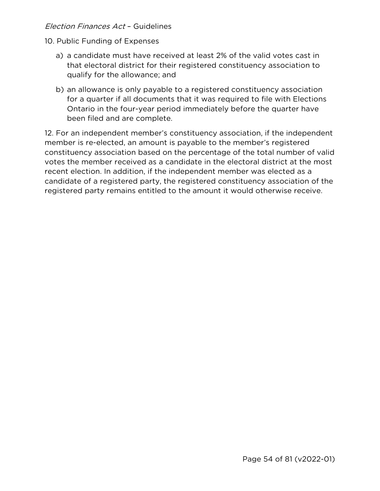- 10. Public Funding of Expenses
	- a) a candidate must have received at least 2% of the valid votes cast in that electoral district for their registered constituency association to qualify for the allowance; and
	- b) an allowance is only payable to a registered constituency association for a quarter if all documents that it was required to file with Elections Ontario in the four-year period immediately before the quarter have been filed and are complete.

12. For an independent member's constituency association, if the independent member is re-elected, an amount is payable to the member's registered constituency association based on the percentage of the total number of valid votes the member received as a candidate in the electoral district at the most recent election. In addition, if the independent member was elected as a candidate of a registered party, the registered constituency association of the registered party remains entitled to the amount it would otherwise receive.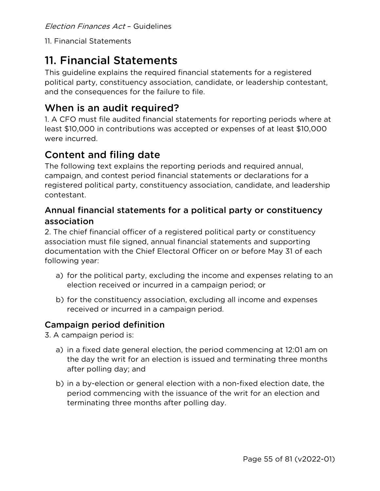11. Financial Statements

# 11. Financial Statements

This guideline explains the required financial statements for a registered political party, constituency association, candidate, or leadership contestant, and the consequences for the failure to file.

## When is an audit required?

1. A CFO must file audited financial statements for reporting periods where at least \$10,000 in contributions was accepted or expenses of at least \$10,000 were incurred.

## Content and filing date

The following text explains the reporting periods and required annual, campaign, and contest period financial statements or declarations for a registered political party, constituency association, candidate, and leadership contestant.

### Annual financial statements for a political party or constituency association

2. The chief financial officer of a registered political party or constituency association must file signed, annual financial statements and supporting documentation with the Chief Electoral Officer on or before May 31 of each following year:

- a) for the political party, excluding the income and expenses relating to an election received or incurred in a campaign period; or
- b) for the constituency association, excluding all income and expenses received or incurred in a campaign period.

### Campaign period definition

3. A campaign period is:

- a) in a fixed date general election, the period commencing at 12:01 am on the day the writ for an election is issued and terminating three months after polling day; and
- b) in a by-election or general election with a non-fixed election date, the period commencing with the issuance of the writ for an election and terminating three months after polling day.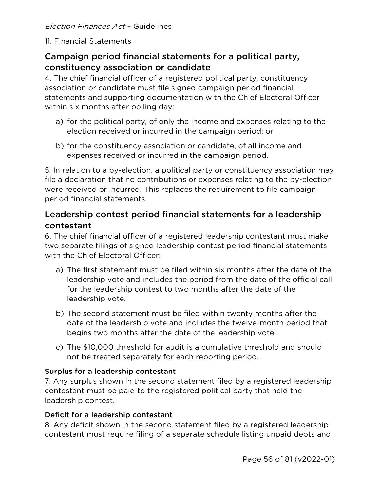11. Financial Statements

### Campaign period financial statements for a political party, constituency association or candidate

4. The chief financial officer of a registered political party, constituency association or candidate must file signed campaign period financial statements and supporting documentation with the Chief Electoral Officer within six months after polling day:

- a) for the political party, of only the income and expenses relating to the election received or incurred in the campaign period; or
- b) for the constituency association or candidate, of all income and expenses received or incurred in the campaign period.

5. In relation to a by-election, a political party or constituency association may file a declaration that no contributions or expenses relating to the by-election were received or incurred. This replaces the requirement to file campaign period financial statements.

### Leadership contest period financial statements for a leadership contestant

6. The chief financial officer of a registered leadership contestant must make two separate filings of signed leadership contest period financial statements with the Chief Electoral Officer:

- a) The first statement must be filed within six months after the date of the leadership vote and includes the period from the date of the official call for the leadership contest to two months after the date of the leadership vote.
- b) The second statement must be filed within twenty months after the date of the leadership vote and includes the twelve-month period that begins two months after the date of the leadership vote.
- c) The \$10,000 threshold for audit is a cumulative threshold and should not be treated separately for each reporting period.

#### Surplus for a leadership contestant

7. Any surplus shown in the second statement filed by a registered leadership contestant must be paid to the registered political party that held the leadership contest.

#### Deficit for a leadership contestant

8. Any deficit shown in the second statement filed by a registered leadership contestant must require filing of a separate schedule listing unpaid debts and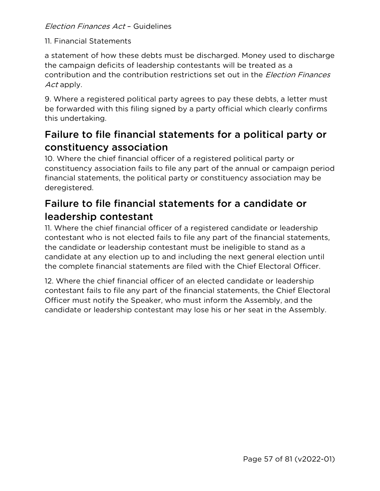#### 11. Financial Statements

a statement of how these debts must be discharged. Money used to discharge the campaign deficits of leadership contestants will be treated as a contribution and the contribution restrictions set out in the *Election Finances* Act apply.

9. Where a registered political party agrees to pay these debts, a letter must be forwarded with this filing signed by a party official which clearly confirms this undertaking.

## Failure to file financial statements for a political party or constituency association

10. Where the chief financial officer of a registered political party or constituency association fails to file any part of the annual or campaign period financial statements, the political party or constituency association may be deregistered.

## Failure to file financial statements for a candidate or leadership contestant

11. Where the chief financial officer of a registered candidate or leadership contestant who is not elected fails to file any part of the financial statements, the candidate or leadership contestant must be ineligible to stand as a candidate at any election up to and including the next general election until the complete financial statements are filed with the Chief Electoral Officer.

12. Where the chief financial officer of an elected candidate or leadership contestant fails to file any part of the financial statements, the Chief Electoral Officer must notify the Speaker, who must inform the Assembly, and the candidate or leadership contestant may lose his or her seat in the Assembly.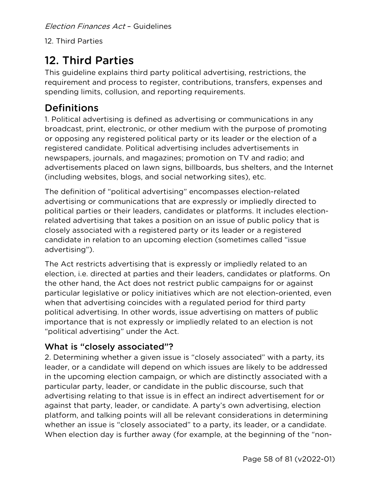12. Third Parties

# 12. Third Parties

This guideline explains third party political advertising, restrictions, the requirement and process to register, contributions, transfers, expenses and spending limits, collusion, and reporting requirements.

## **Definitions**

1. Political advertising is defined as advertising or communications in any broadcast, print, electronic, or other medium with the purpose of promoting or opposing any registered political party or its leader or the election of a registered candidate. Political advertising includes advertisements in newspapers, journals, and magazines; promotion on TV and radio; and advertisements placed on lawn signs, billboards, bus shelters, and the Internet (including websites, blogs, and social networking sites), etc.

The definition of "political advertising" encompasses election-related advertising or communications that are expressly or impliedly directed to political parties or their leaders, candidates or platforms. It includes electionrelated advertising that takes a position on an issue of public policy that is closely associated with a registered party or its leader or a registered candidate in relation to an upcoming election (sometimes called "issue advertising").

The Act restricts advertising that is expressly or impliedly related to an election, i.e. directed at parties and their leaders, candidates or platforms. On the other hand, the Act does not restrict public campaigns for or against particular legislative or policy initiatives which are not election-oriented, even when that advertising coincides with a regulated period for third party political advertising. In other words, issue advertising on matters of public importance that is not expressly or impliedly related to an election is not "political advertising" under the Act.

### What is "closely associated"?

2. Determining whether a given issue is "closely associated" with a party, its leader, or a candidate will depend on which issues are likely to be addressed in the upcoming election campaign, or which are distinctly associated with a particular party, leader, or candidate in the public discourse, such that advertising relating to that issue is in effect an indirect advertisement for or against that party, leader, or candidate. A party's own advertising, election platform, and talking points will all be relevant considerations in determining whether an issue is "closely associated" to a party, its leader, or a candidate. When election day is further away (for example, at the beginning of the "non-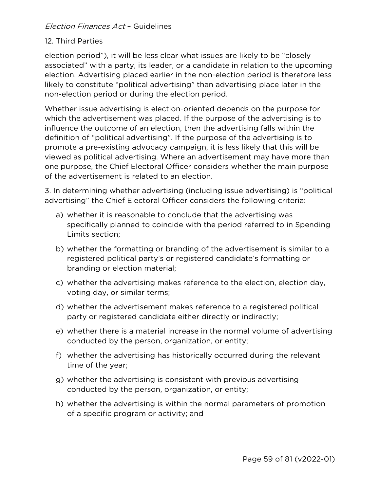#### 12. Third Parties

election period"), it will be less clear what issues are likely to be "closely associated" with a party, its leader, or a candidate in relation to the upcoming election. Advertising placed earlier in the non-election period is therefore less likely to constitute "political advertising" than advertising place later in the non-election period or during the election period.

Whether issue advertising is election-oriented depends on the purpose for which the advertisement was placed. If the purpose of the advertising is to influence the outcome of an election, then the advertising falls within the definition of "political advertising". If the purpose of the advertising is to promote a pre-existing advocacy campaign, it is less likely that this will be viewed as political advertising. Where an advertisement may have more than one purpose, the Chief Electoral Officer considers whether the main purpose of the advertisement is related to an election.

3. In determining whether advertising (including issue advertising) is "political advertising" the Chief Electoral Officer considers the following criteria:

- a) whether it is reasonable to conclude that the advertising was specifically planned to coincide with the period referred to in Spending Limits section;
- b) whether the formatting or branding of the advertisement is similar to a registered political party's or registered candidate's formatting or branding or election material;
- c) whether the advertising makes reference to the election, election day, voting day, or similar terms;
- d) whether the advertisement makes reference to a registered political party or registered candidate either directly or indirectly;
- e) whether there is a material increase in the normal volume of advertising conducted by the person, organization, or entity;
- f) whether the advertising has historically occurred during the relevant time of the year;
- g) whether the advertising is consistent with previous advertising conducted by the person, organization, or entity;
- h) whether the advertising is within the normal parameters of promotion of a specific program or activity; and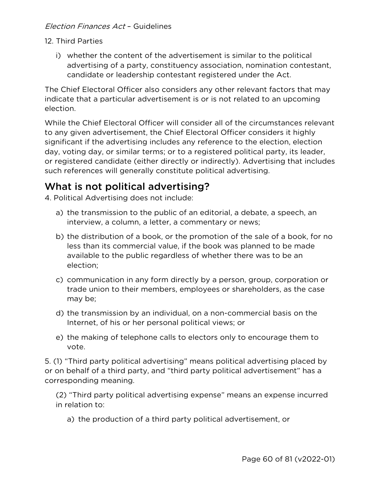#### 12. Third Parties

i) whether the content of the advertisement is similar to the political advertising of a party, constituency association, nomination contestant, candidate or leadership contestant registered under the Act.

The Chief Electoral Officer also considers any other relevant factors that may indicate that a particular advertisement is or is not related to an upcoming election.

While the Chief Electoral Officer will consider all of the circumstances relevant to any given advertisement, the Chief Electoral Officer considers it highly significant if the advertising includes any reference to the election, election day, voting day, or similar terms; or to a registered political party, its leader, or registered candidate (either directly or indirectly). Advertising that includes such references will generally constitute political advertising.

### What is not political advertising?

4. Political Advertising does not include:

- a) the transmission to the public of an editorial, a debate, a speech, an interview, a column, a letter, a commentary or news;
- b) the distribution of a book, or the promotion of the sale of a book, for no less than its commercial value, if the book was planned to be made available to the public regardless of whether there was to be an election;
- c) communication in any form directly by a person, group, corporation or trade union to their members, employees or shareholders, as the case may be;
- d) the transmission by an individual, on a non-commercial basis on the Internet, of his or her personal political views; or
- e) the making of telephone calls to electors only to encourage them to vote.

5. (1) "Third party political advertising" means political advertising placed by or on behalf of a third party, and "third party political advertisement" has a corresponding meaning.

(2) "Third party political advertising expense" means an expense incurred in relation to:

a) the production of a third party political advertisement, or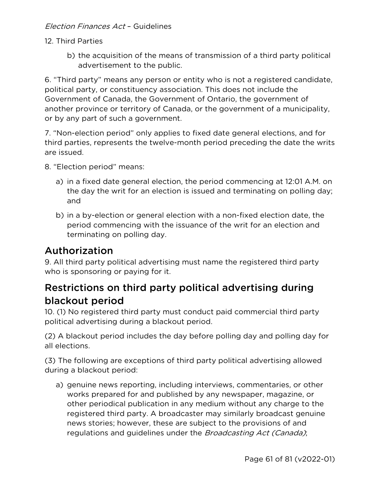12. Third Parties

b) the acquisition of the means of transmission of a third party political advertisement to the public.

6. "Third party" means any person or entity who is not a registered candidate, political party, or constituency association. This does not include the Government of Canada, the Government of Ontario, the government of another province or territory of Canada, or the government of a municipality, or by any part of such a government.

7. "Non-election period" only applies to fixed date general elections, and for third parties, represents the twelve-month period preceding the date the writs are issued.

8. "Election period" means:

- a) in a fixed date general election, the period commencing at 12:01 A.M. on the day the writ for an election is issued and terminating on polling day; and
- b) in a by-election or general election with a non-fixed election date, the period commencing with the issuance of the writ for an election and terminating on polling day.

## Authorization

9. All third party political advertising must name the registered third party who is sponsoring or paying for it.

## Restrictions on third party political advertising during blackout period

10. (1) No registered third party must conduct paid commercial third party political advertising during a blackout period.

(2) A blackout period includes the day before polling day and polling day for all elections.

(3) The following are exceptions of third party political advertising allowed during a blackout period:

a) genuine news reporting, including interviews, commentaries, or other works prepared for and published by any newspaper, magazine, or other periodical publication in any medium without any charge to the registered third party. A broadcaster may similarly broadcast genuine news stories; however, these are subject to the provisions of and regulations and guidelines under the Broadcasting Act (Canada);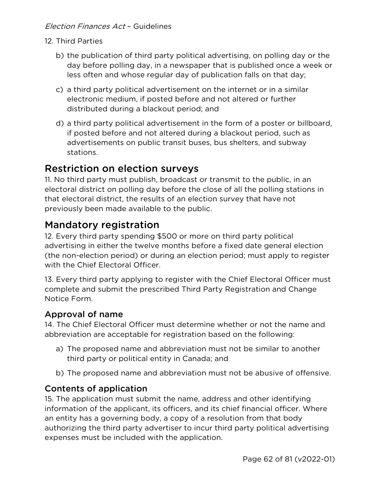- 12. Third Parties
	- b) the publication of third party political advertising, on polling day or the day before polling day, in a newspaper that is published once a week or less often and whose regular day of publication falls on that day;
	- c) a third party political advertisement on the internet or in a similar electronic medium, if posted before and not altered or further distributed during a blackout period; and
	- d) a third party political advertisement in the form of a poster or billboard, if posted before and not altered during a blackout period, such as advertisements on public transit buses, bus shelters, and subway stations.

### Restriction on election surveys

11. No third party must publish, broadcast or transmit to the public, in an electoral district on polling day before the close of all the polling stations in that electoral district, the results of an election survey that have not previously been made available to the public.

## Mandatory registration

12. Every third party spending \$500 or more on third party political advertising in either the twelve months before a fixed date general election (the non-election period) or during an election period; must apply to register with the Chief Electoral Officer.

13. Every third party applying to register with the Chief Electoral Officer must complete and submit the prescribed Third Party Registration and Change Notice Form.

### Approval of name

14. The Chief Electoral Officer must determine whether or not the name and abbreviation are acceptable for registration based on the following:

- a) The proposed name and abbreviation must not be similar to another third party or political entity in Canada; and
- b) The proposed name and abbreviation must not be abusive of offensive.

### Contents of application

15. The application must submit the name, address and other identifying information of the applicant, its officers, and its chief financial officer. Where an entity has a governing body, a copy of a resolution from that body authorizing the third party advertiser to incur third party political advertising expenses must be included with the application.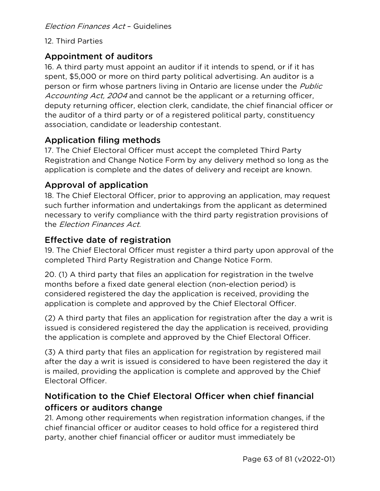### 12. Third Parties

### Appointment of auditors

16. A third party must appoint an auditor if it intends to spend, or if it has spent, \$5,000 or more on third party political advertising. An auditor is a person or firm whose partners living in Ontario are license under the *Public* Accounting Act, 2004 and cannot be the applicant or a returning officer, deputy returning officer, election clerk, candidate, the chief financial officer or the auditor of a third party or of a registered political party, constituency association, candidate or leadership contestant.

### Application filing methods

17. The Chief Electoral Officer must accept the completed Third Party Registration and Change Notice Form by any delivery method so long as the application is complete and the dates of delivery and receipt are known.

### Approval of application

18. The Chief Electoral Officer, prior to approving an application, may request such further information and undertakings from the applicant as determined necessary to verify compliance with the third party registration provisions of the Election Finances Act.

### Effective date of registration

19. The Chief Electoral Officer must register a third party upon approval of the completed Third Party Registration and Change Notice Form.

20. (1) A third party that files an application for registration in the twelve months before a fixed date general election (non-election period) is considered registered the day the application is received, providing the application is complete and approved by the Chief Electoral Officer.

(2) A third party that files an application for registration after the day a writ is issued is considered registered the day the application is received, providing the application is complete and approved by the Chief Electoral Officer.

(3) A third party that files an application for registration by registered mail after the day a writ is issued is considered to have been registered the day it is mailed, providing the application is complete and approved by the Chief Electoral Officer.

### Notification to the Chief Electoral Officer when chief financial officers or auditors change

21. Among other requirements when registration information changes, if the chief financial officer or auditor ceases to hold office for a registered third party, another chief financial officer or auditor must immediately be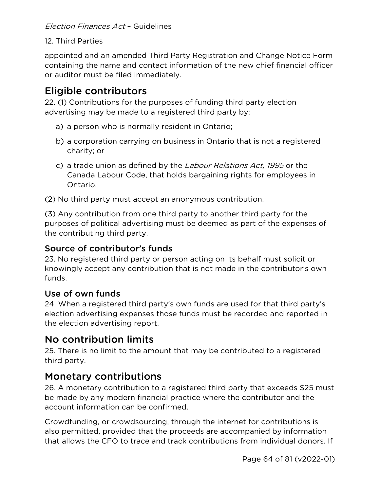12. Third Parties

appointed and an amended Third Party Registration and Change Notice Form containing the name and contact information of the new chief financial officer or auditor must be filed immediately.

## Eligible contributors

22. (1) Contributions for the purposes of funding third party election advertising may be made to a registered third party by:

- a) a person who is normally resident in Ontario;
- b) a corporation carrying on business in Ontario that is not a registered charity; or
- c) a trade union as defined by the Labour Relations Act, 1995 or the Canada Labour Code, that holds bargaining rights for employees in Ontario.

(2) No third party must accept an anonymous contribution.

(3) Any contribution from one third party to another third party for the purposes of political advertising must be deemed as part of the expenses of the contributing third party.

### Source of contributor's funds

23. No registered third party or person acting on its behalf must solicit or knowingly accept any contribution that is not made in the contributor's own funds.

### Use of own funds

24. When a registered third party's own funds are used for that third party's election advertising expenses those funds must be recorded and reported in the election advertising report.

## No contribution limits

25. There is no limit to the amount that may be contributed to a registered third party.

## Monetary contributions

26. A monetary contribution to a registered third party that exceeds \$25 must be made by any modern financial practice where the contributor and the account information can be confirmed.

Crowdfunding, or crowdsourcing, through the internet for contributions is also permitted, provided that the proceeds are accompanied by information that allows the CFO to trace and track contributions from individual donors. If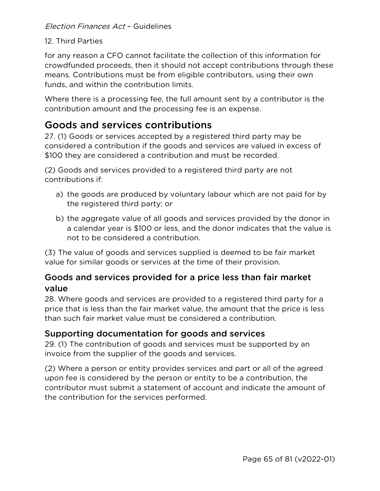#### 12. Third Parties

for any reason a CFO cannot facilitate the collection of this information for crowdfunded proceeds, then it should not accept contributions through these means. Contributions must be from eligible contributors, using their own funds, and within the contribution limits.

Where there is a processing fee, the full amount sent by a contributor is the contribution amount and the processing fee is an expense.

## Goods and services contributions

27. (1) Goods or services accepted by a registered third party may be considered a contribution if the goods and services are valued in excess of \$100 they are considered a contribution and must be recorded.

(2) Goods and services provided to a registered third party are not contributions if:

- a) the goods are produced by voluntary labour which are not paid for by the registered third party; or
- b) the aggregate value of all goods and services provided by the donor in a calendar year is \$100 or less, and the donor indicates that the value is not to be considered a contribution.

(3) The value of goods and services supplied is deemed to be fair market value for similar goods or services at the time of their provision.

### Goods and services provided for a price less than fair market value

28. Where goods and services are provided to a registered third party for a price that is less than the fair market value, the amount that the price is less than such fair market value must be considered a contribution.

### Supporting documentation for goods and services

29. (1) The contribution of goods and services must be supported by an invoice from the supplier of the goods and services.

(2) Where a person or entity provides services and part or all of the agreed upon fee is considered by the person or entity to be a contribution, the contributor must submit a statement of account and indicate the amount of the contribution for the services performed.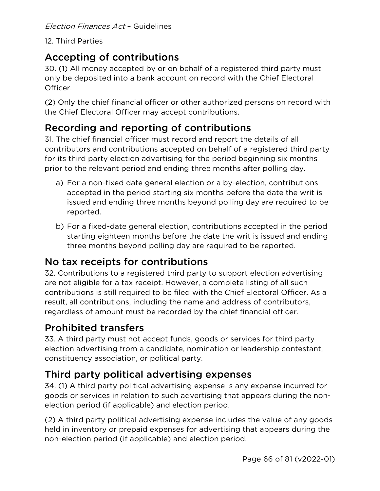### 12. Third Parties

## Accepting of contributions

30. (1) All money accepted by or on behalf of a registered third party must only be deposited into a bank account on record with the Chief Electoral Officer.

(2) Only the chief financial officer or other authorized persons on record with the Chief Electoral Officer may accept contributions.

# Recording and reporting of contributions

31. The chief financial officer must record and report the details of all contributors and contributions accepted on behalf of a registered third party for its third party election advertising for the period beginning six months prior to the relevant period and ending three months after polling day.

- a) For a non-fixed date general election or a by-election, contributions accepted in the period starting six months before the date the writ is issued and ending three months beyond polling day are required to be reported.
- b) For a fixed-date general election, contributions accepted in the period starting eighteen months before the date the writ is issued and ending three months beyond polling day are required to be reported.

## No tax receipts for contributions

32. Contributions to a registered third party to support election advertising are not eligible for a tax receipt. However, a complete listing of all such contributions is still required to be filed with the Chief Electoral Officer. As a result, all contributions, including the name and address of contributors, regardless of amount must be recorded by the chief financial officer.

# Prohibited transfers

33. A third party must not accept funds, goods or services for third party election advertising from a candidate, nomination or leadership contestant, constituency association, or political party.

# Third party political advertising expenses

34. (1) A third party political advertising expense is any expense incurred for goods or services in relation to such advertising that appears during the nonelection period (if applicable) and election period.

(2) A third party political advertising expense includes the value of any goods held in inventory or prepaid expenses for advertising that appears during the non-election period (if applicable) and election period.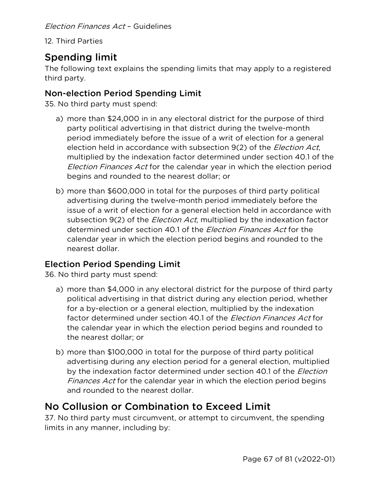12. Third Parties

## Spending limit

The following text explains the spending limits that may apply to a registered third party.

### Non-election Period Spending Limit

35. No third party must spend:

- a) more than \$24,000 in in any electoral district for the purpose of third party political advertising in that district during the twelve-month period immediately before the issue of a writ of election for a general election held in accordance with subsection 9(2) of the *Election Act*, multiplied by the indexation factor determined under section 40.1 of the Election Finances Act for the calendar year in which the election period begins and rounded to the nearest dollar; or
- b) more than \$600,000 in total for the purposes of third party political advertising during the twelve-month period immediately before the issue of a writ of election for a general election held in accordance with subsection 9(2) of the *Election Act*, multiplied by the indexation factor determined under section 40.1 of the *Election Finances Act* for the calendar year in which the election period begins and rounded to the nearest dollar.

#### Election Period Spending Limit

36. No third party must spend:

- a) more than \$4,000 in any electoral district for the purpose of third party political advertising in that district during any election period, whether for a by-election or a general election, multiplied by the indexation factor determined under section 40.1 of the *Election Finances Act* for the calendar year in which the election period begins and rounded to the nearest dollar; or
- b) more than \$100,000 in total for the purpose of third party political advertising during any election period for a general election, multiplied by the indexation factor determined under section 40.1 of the *Election* Finances Act for the calendar year in which the election period begins and rounded to the nearest dollar.

## No Collusion or Combination to Exceed Limit

37. No third party must circumvent, or attempt to circumvent, the spending limits in any manner, including by: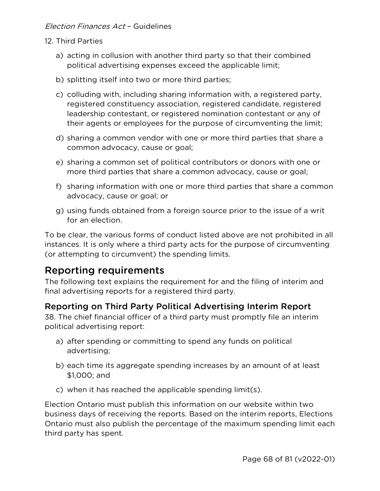- 12. Third Parties
	- a) acting in collusion with another third party so that their combined political advertising expenses exceed the applicable limit;
	- b) splitting itself into two or more third parties;
	- c) colluding with, including sharing information with, a registered party, registered constituency association, registered candidate, registered leadership contestant, or registered nomination contestant or any of their agents or employees for the purpose of circumventing the limit;
	- d) sharing a common vendor with one or more third parties that share a common advocacy, cause or goal;
	- e) sharing a common set of political contributors or donors with one or more third parties that share a common advocacy, cause or goal;
	- f) sharing information with one or more third parties that share a common advocacy, cause or goal; or
	- g) using funds obtained from a foreign source prior to the issue of a writ for an election.

To be clear, the various forms of conduct listed above are not prohibited in all instances. It is only where a third party acts for the purpose of circumventing (or attempting to circumvent) the spending limits.

### Reporting requirements

The following text explains the requirement for and the filing of interim and final advertising reports for a registered third party.

#### Reporting on Third Party Political Advertising Interim Report

38. The chief financial officer of a third party must promptly file an interim political advertising report:

- a) after spending or committing to spend any funds on political advertising;
- b) each time its aggregate spending increases by an amount of at least \$1,000; and
- c) when it has reached the applicable spending limit(s).

Election Ontario must publish this information on our website within two business days of receiving the reports. Based on the interim reports, Elections Ontario must also publish the percentage of the maximum spending limit each third party has spent.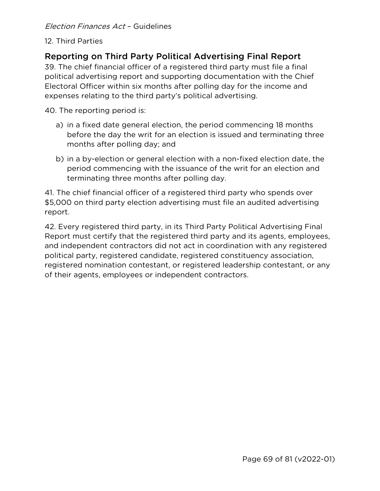#### 12. Third Parties

### Reporting on Third Party Political Advertising Final Report

39. The chief financial officer of a registered third party must file a final political advertising report and supporting documentation with the Chief Electoral Officer within six months after polling day for the income and expenses relating to the third party's political advertising.

40. The reporting period is:

- a) in a fixed date general election, the period commencing 18 months before the day the writ for an election is issued and terminating three months after polling day; and
- b) in a by-election or general election with a non-fixed election date, the period commencing with the issuance of the writ for an election and terminating three months after polling day.

41. The chief financial officer of a registered third party who spends over \$5,000 on third party election advertising must file an audited advertising report.

42. Every registered third party, in its Third Party Political Advertising Final Report must certify that the registered third party and its agents, employees, and independent contractors did not act in coordination with any registered political party, registered candidate, registered constituency association, registered nomination contestant, or registered leadership contestant, or any of their agents, employees or independent contractors.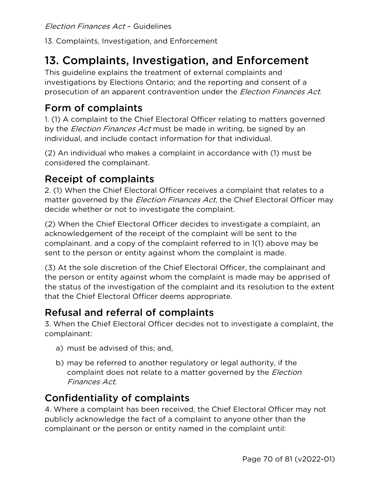13. Complaints, Investigation, and Enforcement

# 13. Complaints, Investigation, and Enforcement

This guideline explains the treatment of external complaints and investigations by Elections Ontario; and the reporting and consent of a prosecution of an apparent contravention under the *Election Finances Act*.

## Form of complaints

1. (1) A complaint to the Chief Electoral Officer relating to matters governed by the *Election Finances Act* must be made in writing, be signed by an individual, and include contact information for that individual.

(2) An individual who makes a complaint in accordance with (1) must be considered the complainant.

## Receipt of complaints

2. (1) When the Chief Electoral Officer receives a complaint that relates to a matter governed by the *Election Finances Act*, the Chief Electoral Officer may decide whether or not to investigate the complaint.

(2) When the Chief Electoral Officer decides to investigate a complaint, an acknowledgement of the receipt of the complaint will be sent to the complainant. and a copy of the complaint referred to in 1(1) above may be sent to the person or entity against whom the complaint is made.

(3) At the sole discretion of the Chief Electoral Officer, the complainant and the person or entity against whom the complaint is made may be apprised of the status of the investigation of the complaint and its resolution to the extent that the Chief Electoral Officer deems appropriate.

## Refusal and referral of complaints

3. When the Chief Electoral Officer decides not to investigate a complaint, the complainant:

- a) must be advised of this; and,
- b) may be referred to another regulatory or legal authority, if the complaint does not relate to a matter governed by the *Election* Finances Act.

## Confidentiality of complaints

4. Where a complaint has been received, the Chief Electoral Officer may not publicly acknowledge the fact of a complaint to anyone other than the complainant or the person or entity named in the complaint until: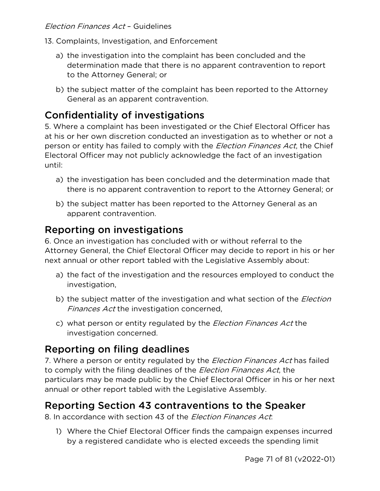- 13. Complaints, Investigation, and Enforcement
	- a) the investigation into the complaint has been concluded and the determination made that there is no apparent contravention to report to the Attorney General; or
	- b) the subject matter of the complaint has been reported to the Attorney General as an apparent contravention.

## Confidentiality of investigations

5. Where a complaint has been investigated or the Chief Electoral Officer has at his or her own discretion conducted an investigation as to whether or not a person or entity has failed to comply with the *Election Finances Act*, the Chief Electoral Officer may not publicly acknowledge the fact of an investigation until:

- a) the investigation has been concluded and the determination made that there is no apparent contravention to report to the Attorney General; or
- b) the subject matter has been reported to the Attorney General as an apparent contravention.

## Reporting on investigations

6. Once an investigation has concluded with or without referral to the Attorney General, the Chief Electoral Officer may decide to report in his or her next annual or other report tabled with the Legislative Assembly about:

- a) the fact of the investigation and the resources employed to conduct the investigation,
- b) the subject matter of the investigation and what section of the *Election* Finances Act the investigation concerned,
- c) what person or entity regulated by the *Election Finances Act* the investigation concerned.

## Reporting on filing deadlines

7. Where a person or entity regulated by the *Election Finances Act* has failed to comply with the filing deadlines of the *Election Finances Act*, the particulars may be made public by the Chief Electoral Officer in his or her next annual or other report tabled with the Legislative Assembly.

### Reporting Section 43 contraventions to the Speaker

8. In accordance with section 43 of the *Election Finances Act*:

1) Where the Chief Electoral Officer finds the campaign expenses incurred by a registered candidate who is elected exceeds the spending limit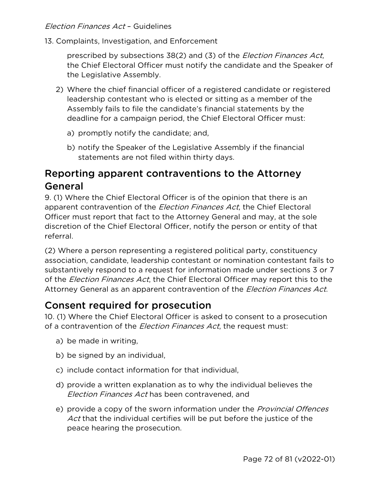13. Complaints, Investigation, and Enforcement

prescribed by subsections 38(2) and (3) of the *Election Finances Act*, the Chief Electoral Officer must notify the candidate and the Speaker of the Legislative Assembly.

- 2) Where the chief financial officer of a registered candidate or registered leadership contestant who is elected or sitting as a member of the Assembly fails to file the candidate's financial statements by the deadline for a campaign period, the Chief Electoral Officer must:
	- a) promptly notify the candidate; and,
	- b) notify the Speaker of the Legislative Assembly if the financial statements are not filed within thirty days.

## Reporting apparent contraventions to the Attorney General

9. (1) Where the Chief Electoral Officer is of the opinion that there is an apparent contravention of the *Election Finances Act*, the Chief Electoral Officer must report that fact to the Attorney General and may, at the sole discretion of the Chief Electoral Officer, notify the person or entity of that referral.

(2) Where a person representing a registered political party, constituency association, candidate, leadership contestant or nomination contestant fails to substantively respond to a request for information made under sections 3 or 7 of the *Election Finances Act*, the Chief Electoral Officer may report this to the Attorney General as an apparent contravention of the Election Finances Act.

### Consent required for prosecution

10. (1) Where the Chief Electoral Officer is asked to consent to a prosecution of a contravention of the *Election Finances Act*, the request must:

- a) be made in writing,
- b) be signed by an individual,
- c) include contact information for that individual,
- d) provide a written explanation as to why the individual believes the Election Finances Act has been contravened, and
- e) provide a copy of the sworn information under the *Provincial Offences* Act that the individual certifies will be put before the justice of the peace hearing the prosecution.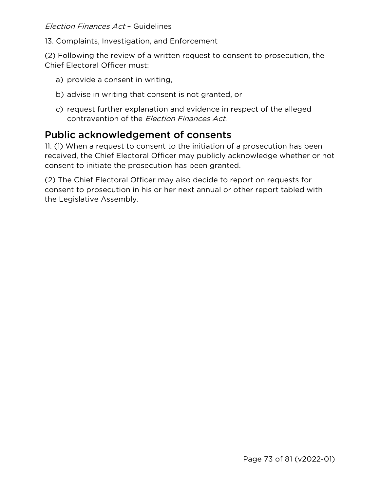13. Complaints, Investigation, and Enforcement

(2) Following the review of a written request to consent to prosecution, the Chief Electoral Officer must:

- a) provide a consent in writing,
- b) advise in writing that consent is not granted, or
- c) request further explanation and evidence in respect of the alleged contravention of the Election Finances Act.

## Public acknowledgement of consents

11. (1) When a request to consent to the initiation of a prosecution has been received, the Chief Electoral Officer may publicly acknowledge whether or not consent to initiate the prosecution has been granted.

(2) The Chief Electoral Officer may also decide to report on requests for consent to prosecution in his or her next annual or other report tabled with the Legislative Assembly.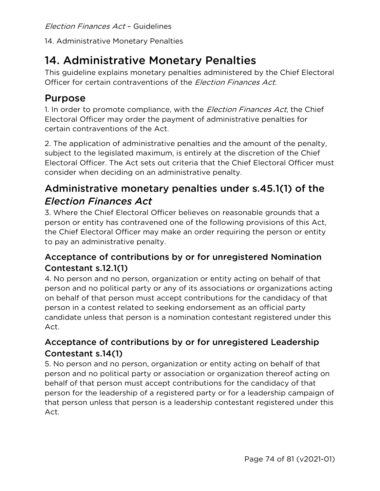14. Administrative Monetary Penalties

# 14. Administrative Monetary Penalties

This guideline explains monetary penalties administered by the Chief Electoral Officer for certain contraventions of the Election Finances Act.

## Purpose

1. In order to promote compliance, with the *Election Finances Act*, the Chief Electoral Officer may order the payment of administrative penalties for certain contraventions of the Act.

2. The application of administrative penalties and the amount of the penalty, subject to the legislated maximum, is entirely at the discretion of the Chief Electoral Officer. The Act sets out criteria that the Chief Electoral Officer must consider when deciding on an administrative penalty.

## Administrative monetary penalties under s.45.1(1) of the *Election Finances Act*

3. Where the Chief Electoral Officer believes on reasonable grounds that a person or entity has contravened one of the following provisions of this Act, the Chief Electoral Officer may make an order requiring the person or entity to pay an administrative penalty.

## Acceptance of contributions by or for unregistered Nomination Contestant s.12.1(1)

4. No person and no person, organization or entity acting on behalf of that person and no political party or any of its associations or organizations acting on behalf of that person must accept contributions for the candidacy of that person in a contest related to seeking endorsement as an official party candidate unless that person is a nomination contestant registered under this Act.

## Acceptance of contributions by or for unregistered Leadership Contestant s.14(1)

5. No person and no person, organization or entity acting on behalf of that person and no political party or association or organization thereof acting on behalf of that person must accept contributions for the candidacy of that person for the leadership of a registered party or for a leadership campaign of that person unless that person is a leadership contestant registered under this Act.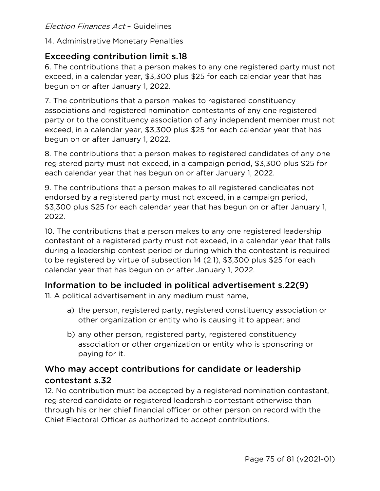14. Administrative Monetary Penalties

#### Exceeding contribution limit s.18

6. The contributions that a person makes to any one registered party must not exceed, in a calendar year, \$3,300 plus \$25 for each calendar year that has begun on or after January 1, 2022.

7. The contributions that a person makes to registered constituency associations and registered nomination contestants of any one registered party or to the constituency association of any independent member must not exceed, in a calendar year, \$3,300 plus \$25 for each calendar year that has begun on or after January 1, 2022.

8. The contributions that a person makes to registered candidates of any one registered party must not exceed, in a campaign period, \$3,300 plus \$25 for each calendar year that has begun on or after January 1, 2022.

9. The contributions that a person makes to all registered candidates not endorsed by a registered party must not exceed, in a campaign period, \$3,300 plus \$25 for each calendar year that has begun on or after January 1, 2022.

10. The contributions that a person makes to any one registered leadership contestant of a registered party must not exceed, in a calendar year that falls during a leadership contest period or during which the contestant is required to be registered by virtue of subsection 14 (2.1), \$3,300 plus \$25 for each calendar year that has begun on or after January 1, 2022.

### Information to be included in political advertisement s.22(9)

11. A political advertisement in any medium must name,

- a) the person, registered party, registered constituency association or other organization or entity who is causing it to appear; and
- b) any other person, registered party, registered constituency association or other organization or entity who is sponsoring or paying for it.

### Who may accept contributions for candidate or leadership contestant s.32

12. No contribution must be accepted by a registered nomination contestant, registered candidate or registered leadership contestant otherwise than through his or her chief financial officer or other person on record with the Chief Electoral Officer as authorized to accept contributions.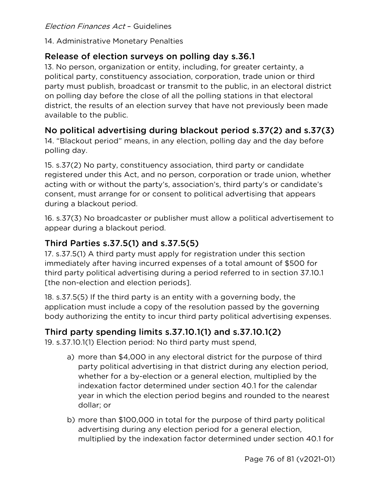14. Administrative Monetary Penalties

### Release of election surveys on polling day s.36.1

13. No person, organization or entity, including, for greater certainty, a political party, constituency association, corporation, trade union or third party must publish, broadcast or transmit to the public, in an electoral district on polling day before the close of all the polling stations in that electoral district, the results of an election survey that have not previously been made available to the public.

### No political advertising during blackout period s.37(2) and s.37(3)

14. "Blackout period" means, in any election, polling day and the day before polling day.

15. s.37(2) No party, constituency association, third party or candidate registered under this Act, and no person, corporation or trade union, whether acting with or without the party's, association's, third party's or candidate's consent, must arrange for or consent to political advertising that appears during a blackout period.

16. s.37(3) No broadcaster or publisher must allow a political advertisement to appear during a blackout period.

### Third Parties s.37.5(1) and s.37.5(5)

17. s.37.5(1) A third party must apply for registration under this section immediately after having incurred expenses of a total amount of \$500 for third party political advertising during a period referred to in section 37.10.1 [the non-election and election periods].

18. s.37.5(5) If the third party is an entity with a governing body, the application must include a copy of the resolution passed by the governing body authorizing the entity to incur third party political advertising expenses.

### Third party spending limits s.37.10.1(1) and s.37.10.1(2)

19. s.37.10.1(1) Election period: No third party must spend,

- a) more than \$4,000 in any electoral district for the purpose of third party political advertising in that district during any election period, whether for a by-election or a general election, multiplied by the indexation factor determined under section 40.1 for the calendar year in which the election period begins and rounded to the nearest dollar; or
- b) more than \$100,000 in total for the purpose of third party political advertising during any election period for a general election, multiplied by the indexation factor determined under section 40.1 for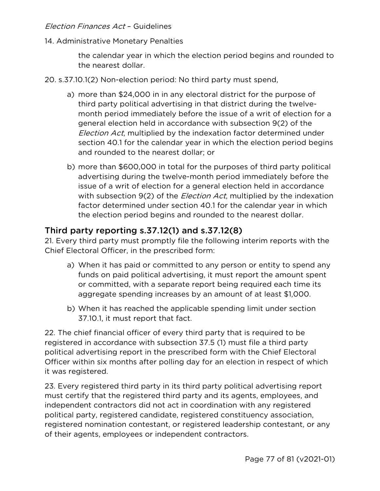14. Administrative Monetary Penalties

the calendar year in which the election period begins and rounded to the nearest dollar.

- 20. s.37.10.1(2) Non-election period: No third party must spend,
	- a) more than \$24,000 in in any electoral district for the purpose of third party political advertising in that district during the twelvemonth period immediately before the issue of a writ of election for a general election held in accordance with subsection 9(2) of the Election Act, multiplied by the indexation factor determined under section 40.1 for the calendar year in which the election period begins and rounded to the nearest dollar; or
	- b) more than \$600,000 in total for the purposes of third party political advertising during the twelve-month period immediately before the issue of a writ of election for a general election held in accordance with subsection 9(2) of the *Election Act*, multiplied by the indexation factor determined under section 40.1 for the calendar year in which the election period begins and rounded to the nearest dollar.

#### Third party reporting s.37.12(1) and s.37.12(8)

21. Every third party must promptly file the following interim reports with the Chief Electoral Officer, in the prescribed form:

- a) When it has paid or committed to any person or entity to spend any funds on paid political advertising, it must report the amount spent or committed, with a separate report being required each time its aggregate spending increases by an amount of at least \$1,000.
- b) When it has reached the applicable spending limit under section 37.10.1, it must report that fact.

22. The chief financial officer of every third party that is required to be registered in accordance with subsection 37.5 (1) must file a third party political advertising report in the prescribed form with the Chief Electoral Officer within six months after polling day for an election in respect of which it was registered.

23. Every registered third party in its third party political advertising report must certify that the registered third party and its agents, employees, and independent contractors did not act in coordination with any registered political party, registered candidate, registered constituency association, registered nomination contestant, or registered leadership contestant, or any of their agents, employees or independent contractors.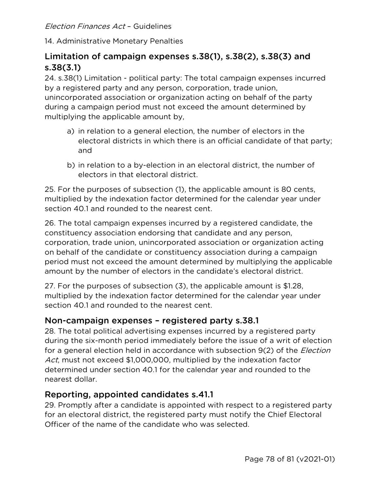14. Administrative Monetary Penalties

### Limitation of campaign expenses s.38(1), s.38(2), s.38(3) and s.38(3.1)

24. s.38(1) Limitation - political party: The total campaign expenses incurred by a registered party and any person, corporation, trade union, unincorporated association or organization acting on behalf of the party during a campaign period must not exceed the amount determined by multiplying the applicable amount by,

- a) in relation to a general election, the number of electors in the electoral districts in which there is an official candidate of that party; and
- b) in relation to a by-election in an electoral district, the number of electors in that electoral district.

25. For the purposes of subsection (1), the applicable amount is 80 cents, multiplied by the indexation factor determined for the calendar year under section 40.1 and rounded to the nearest cent.

26. The total campaign expenses incurred by a registered candidate, the constituency association endorsing that candidate and any person, corporation, trade union, unincorporated association or organization acting on behalf of the candidate or constituency association during a campaign period must not exceed the amount determined by multiplying the applicable amount by the number of electors in the candidate's electoral district.

27. For the purposes of subsection (3), the applicable amount is \$1.28, multiplied by the indexation factor determined for the calendar year under section 40.1 and rounded to the nearest cent.

### Non-campaign expenses – registered party s.38.1

28. The total political advertising expenses incurred by a registered party during the six-month period immediately before the issue of a writ of election for a general election held in accordance with subsection 9(2) of the *Election* Act, must not exceed \$1,000,000, multiplied by the indexation factor determined under section 40.1 for the calendar year and rounded to the nearest dollar.

### Reporting, appointed candidates s.41.1

29. Promptly after a candidate is appointed with respect to a registered party for an electoral district, the registered party must notify the Chief Electoral Officer of the name of the candidate who was selected.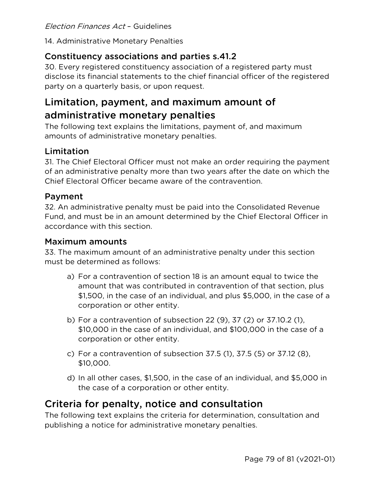14. Administrative Monetary Penalties

### Constituency associations and parties s.41.2

30. Every registered constituency association of a registered party must disclose its financial statements to the chief financial officer of the registered party on a quarterly basis, or upon request.

## Limitation, payment, and maximum amount of administrative monetary penalties

The following text explains the limitations, payment of, and maximum amounts of administrative monetary penalties.

### Limitation

31. The Chief Electoral Officer must not make an order requiring the payment of an administrative penalty more than two years after the date on which the Chief Electoral Officer became aware of the contravention.

#### Payment

32. An administrative penalty must be paid into the Consolidated Revenue Fund, and must be in an amount determined by the Chief Electoral Officer in accordance with this section.

#### Maximum amounts

33. The maximum amount of an administrative penalty under this section must be determined as follows:

- a) For a contravention of section 18 is an amount equal to twice the amount that was contributed in contravention of that section, plus \$1,500, in the case of an individual, and plus \$5,000, in the case of a corporation or other entity.
- b) For a contravention of subsection 22 (9), 37 (2) or 37.10.2 (1), \$10,000 in the case of an individual, and \$100,000 in the case of a corporation or other entity.
- c) For a contravention of subsection 37.5 (1), 37.5 (5) or 37.12 (8), \$10,000.
- d) In all other cases, \$1,500, in the case of an individual, and \$5,000 in the case of a corporation or other entity.

### Criteria for penalty, notice and consultation

The following text explains the criteria for determination, consultation and publishing a notice for administrative monetary penalties.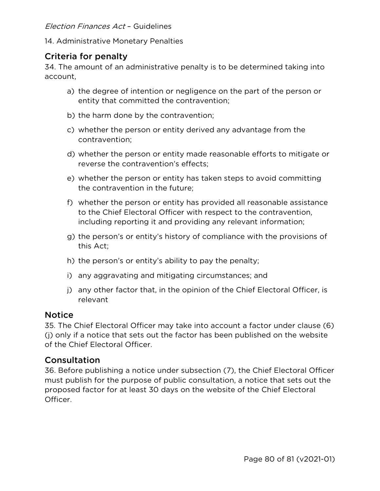14. Administrative Monetary Penalties

#### Criteria for penalty

34. The amount of an administrative penalty is to be determined taking into account,

- a) the degree of intention or negligence on the part of the person or entity that committed the contravention;
- b) the harm done by the contravention;
- c) whether the person or entity derived any advantage from the contravention;
- d) whether the person or entity made reasonable efforts to mitigate or reverse the contravention's effects;
- e) whether the person or entity has taken steps to avoid committing the contravention in the future;
- f) whether the person or entity has provided all reasonable assistance to the Chief Electoral Officer with respect to the contravention, including reporting it and providing any relevant information;
- g) the person's or entity's history of compliance with the provisions of this Act;
- h) the person's or entity's ability to pay the penalty;
- i) any aggravating and mitigating circumstances; and
- j) any other factor that, in the opinion of the Chief Electoral Officer, is relevant

#### Notice

35. The Chief Electoral Officer may take into account a factor under clause (6) (j) only if a notice that sets out the factor has been published on the website of the Chief Electoral Officer.

#### Consultation

36. Before publishing a notice under subsection (7), the Chief Electoral Officer must publish for the purpose of public consultation, a notice that sets out the proposed factor for at least 30 days on the website of the Chief Electoral Officer.